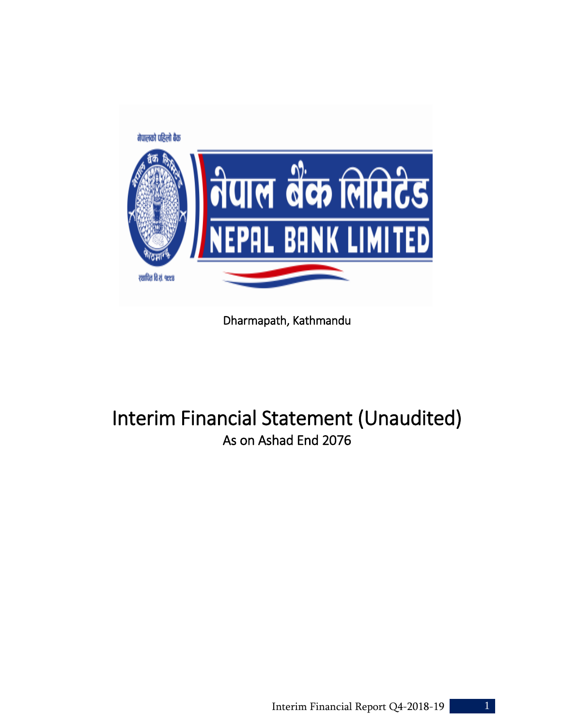

Dharmapath, Kathmandu

# Interim Financial Statement (Unaudited) As on Ashad End 2076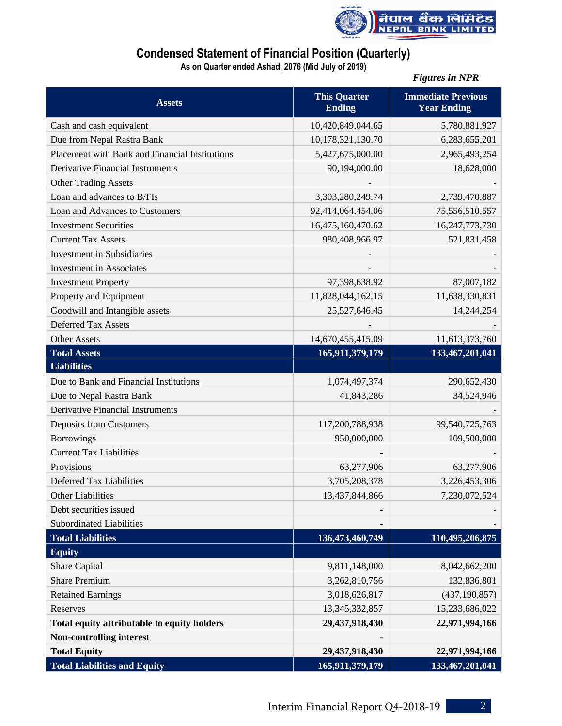

### **Condensed Statement of Financial Position (Quarterly)**

**As on Quarter ended Ashad, 2076 (Mid July of 2019)**

|                                                |                                      | <b>Figures in NPR</b>                           |
|------------------------------------------------|--------------------------------------|-------------------------------------------------|
| <b>Assets</b>                                  | <b>This Quarter</b><br><b>Ending</b> | <b>Immediate Previous</b><br><b>Year Ending</b> |
| Cash and cash equivalent                       | 10,420,849,044.65                    | 5,780,881,927                                   |
| Due from Nepal Rastra Bank                     | 10,178,321,130.70                    | 6,283,655,201                                   |
| Placement with Bank and Financial Institutions | 5,427,675,000.00                     | 2,965,493,254                                   |
| <b>Derivative Financial Instruments</b>        | 90,194,000.00                        | 18,628,000                                      |
| <b>Other Trading Assets</b>                    |                                      |                                                 |
| Loan and advances to B/FIs                     | 3,303,280,249.74                     | 2,739,470,887                                   |
| Loan and Advances to Customers                 | 92,414,064,454.06                    | 75,556,510,557                                  |
| <b>Investment Securities</b>                   | 16,475,160,470.62                    | 16,247,773,730                                  |
| <b>Current Tax Assets</b>                      | 980,408,966.97                       | 521,831,458                                     |
| <b>Investment in Subsidiaries</b>              |                                      |                                                 |
| <b>Investment</b> in Associates                |                                      |                                                 |
| <b>Investment Property</b>                     | 97,398,638.92                        | 87,007,182                                      |
| Property and Equipment                         | 11,828,044,162.15                    | 11,638,330,831                                  |
| Goodwill and Intangible assets                 | 25,527,646.45                        | 14,244,254                                      |
| <b>Deferred Tax Assets</b>                     |                                      |                                                 |
| <b>Other Assets</b>                            | 14,670,455,415.09                    | 11,613,373,760                                  |
| <b>Total Assets</b>                            | 165,911,379,179                      | 133,467,201,041                                 |
| <b>Liabilities</b>                             |                                      |                                                 |
| Due to Bank and Financial Institutions         | 1,074,497,374                        | 290,652,430                                     |
| Due to Nepal Rastra Bank                       | 41,843,286                           | 34,524,946                                      |
| <b>Derivative Financial Instruments</b>        |                                      |                                                 |
| <b>Deposits from Customers</b>                 | 117,200,788,938                      | 99,540,725,763                                  |
| <b>Borrowings</b>                              | 950,000,000                          | 109,500,000                                     |
| <b>Current Tax Liabilities</b>                 |                                      |                                                 |
| Provisions                                     | 63,277,906                           | 63,277,906                                      |
| Deferred Tax Liabilities                       | 3,705,208,378                        | 3,226,453,306                                   |
| <b>Other Liabilities</b>                       | 13,437,844,866                       | 7,230,072,524                                   |
| Debt securities issued                         |                                      |                                                 |
| <b>Subordinated Liabilities</b>                |                                      |                                                 |
| <b>Total Liabilities</b>                       | 136,473,460,749                      | 110,495,206,875                                 |
| <b>Equity</b>                                  |                                      |                                                 |
| Share Capital                                  | 9,811,148,000                        | 8,042,662,200                                   |
| <b>Share Premium</b>                           | 3,262,810,756                        | 132,836,801                                     |
| <b>Retained Earnings</b>                       | 3,018,626,817                        | (437, 190, 857)                                 |
| Reserves                                       | 13, 345, 332, 857                    | 15,233,686,022                                  |
| Total equity attributable to equity holders    | 29,437,918,430                       | 22,971,994,166                                  |
| <b>Non-controlling interest</b>                |                                      |                                                 |
| <b>Total Equity</b>                            | 29,437,918,430                       | 22,971,994,166                                  |
| <b>Total Liabilities and Equity</b>            | 165,911,379,179                      | 133,467,201,041                                 |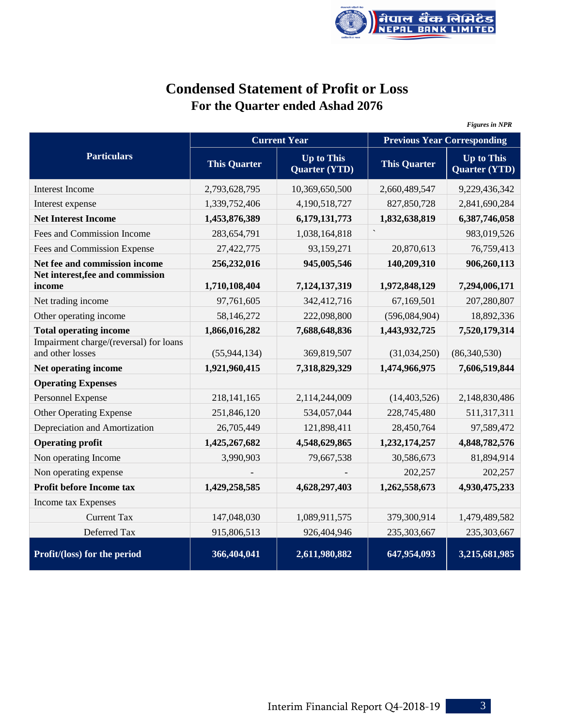

# **Condensed Statement of Profit or Loss For the Quarter ended Ashad 2076**

|                                                            |                     |                                           |                                    | <b>Figures in NPR</b>                     |
|------------------------------------------------------------|---------------------|-------------------------------------------|------------------------------------|-------------------------------------------|
|                                                            |                     | <b>Current Year</b>                       | <b>Previous Year Corresponding</b> |                                           |
| <b>Particulars</b>                                         | <b>This Quarter</b> | <b>Up to This</b><br><b>Quarter (YTD)</b> | <b>This Quarter</b>                | <b>Up to This</b><br><b>Quarter (YTD)</b> |
| Interest Income                                            | 2,793,628,795       | 10,369,650,500                            | 2,660,489,547                      | 9,229,436,342                             |
| Interest expense                                           | 1,339,752,406       | 4,190,518,727                             | 827,850,728                        | 2,841,690,284                             |
| <b>Net Interest Income</b>                                 | 1,453,876,389       | 6,179,131,773                             | 1,832,638,819                      | 6,387,746,058                             |
| Fees and Commission Income                                 | 283,654,791         | 1,038,164,818                             |                                    | 983,019,526                               |
| Fees and Commission Expense                                | 27,422,775          | 93,159,271                                | 20,870,613                         | 76,759,413                                |
| Net fee and commission income                              | 256,232,016         | 945,005,546                               | 140,209,310                        | 906,260,113                               |
| Net interest, fee and commission<br>income                 | 1,710,108,404       | 7,124,137,319                             | 1,972,848,129                      | 7,294,006,171                             |
| Net trading income                                         | 97,761,605          | 342,412,716                               | 67,169,501                         | 207,280,807                               |
| Other operating income                                     | 58,146,272          | 222,098,800                               | (596,084,904)                      | 18,892,336                                |
| <b>Total operating income</b>                              | 1,866,016,282       | 7,688,648,836                             | 1,443,932,725                      | 7,520,179,314                             |
| Impairment charge/(reversal) for loans<br>and other losses | (55, 944, 134)      | 369,819,507                               | (31,034,250)                       | (86,340,530)                              |
| Net operating income                                       | 1,921,960,415       | 7,318,829,329                             | 1,474,966,975                      | 7,606,519,844                             |
| <b>Operating Expenses</b>                                  |                     |                                           |                                    |                                           |
| Personnel Expense                                          | 218, 141, 165       | 2,114,244,009                             | (14, 403, 526)                     | 2,148,830,486                             |
| <b>Other Operating Expense</b>                             | 251,846,120         | 534,057,044                               | 228,745,480                        | 511,317,311                               |
| Depreciation and Amortization                              | 26,705,449          | 121,898,411                               | 28,450,764                         | 97,589,472                                |
| <b>Operating profit</b>                                    | 1,425,267,682       | 4,548,629,865                             | 1,232,174,257                      | 4,848,782,576                             |
| Non operating Income                                       | 3,990,903           | 79,667,538                                | 30,586,673                         | 81,894,914                                |
| Non operating expense                                      |                     |                                           | 202,257                            | 202,257                                   |
| Profit before Income tax                                   | 1,429,258,585       | 4,628,297,403                             | 1,262,558,673                      | 4,930,475,233                             |
| Income tax Expenses                                        |                     |                                           |                                    |                                           |
| <b>Current Tax</b>                                         | 147,048,030         | 1,089,911,575                             | 379,300,914                        | 1,479,489,582                             |
| Deferred Tax                                               | 915,806,513         | 926,404,946                               | 235,303,667                        | 235,303,667                               |
| Profit/(loss) for the period                               | 366,404,041         | 2,611,980,882                             | 647,954,093                        | 3,215,681,985                             |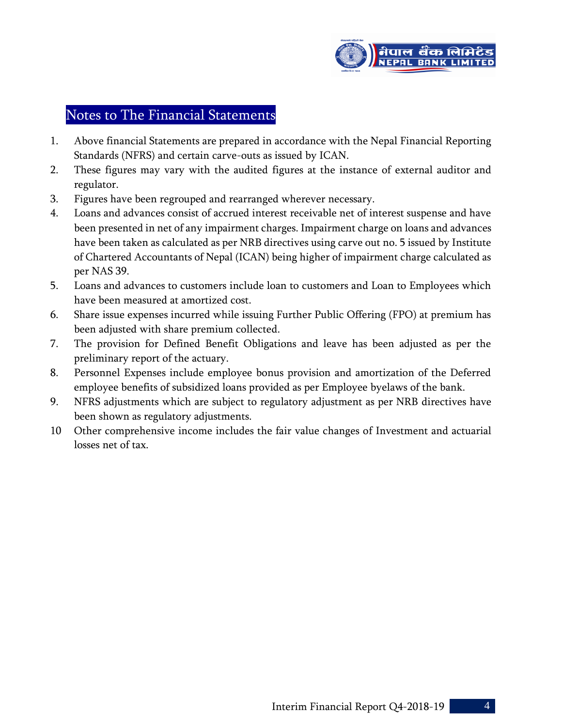

## Notes to The Financial Statements

- 1. Above financial Statements are prepared in accordance with the Nepal Financial Reporting Standards (NFRS) and certain carve-outs as issued by ICAN.
- 2. These figures may vary with the audited figures at the instance of external auditor and regulator.
- 3. Figures have been regrouped and rearranged wherever necessary.
- 4. Loans and advances consist of accrued interest receivable net of interest suspense and have been presented in net of any impairment charges. Impairment charge on loans and advances have been taken as calculated as per NRB directives using carve out no. 5 issued by Institute of Chartered Accountants of Nepal (ICAN) being higher of impairment charge calculated as per NAS 39.
- 5. Loans and advances to customers include loan to customers and Loan to Employees which have been measured at amortized cost.
- 6. Share issue expenses incurred while issuing Further Public Offering (FPO) at premium has been adjusted with share premium collected.
- 7. The provision for Defined Benefit Obligations and leave has been adjusted as per the preliminary report of the actuary.
- 8. Personnel Expenses include employee bonus provision and amortization of the Deferred employee benefits of subsidized loans provided as per Employee byelaws of the bank.
- 9. NFRS adjustments which are subject to regulatory adjustment as per NRB directives have been shown as regulatory adjustments.
- 10 Other comprehensive income includes the fair value changes of Investment and actuarial losses net of tax.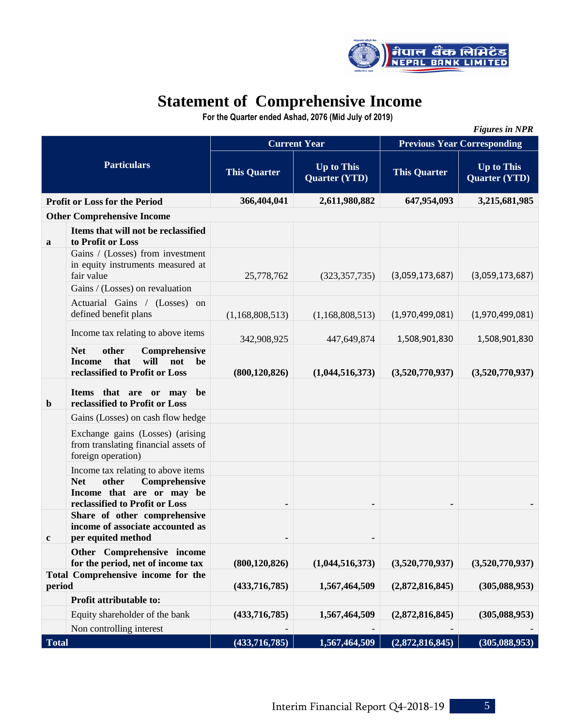

# **Statement of Comprehensive Income**

 **For the Quarter ended Ashad, 2076 (Mid July of 2019)**

|              | <b>Figures in NPR</b>                                                                                                |                                                                  |                     |                                    |                                           |  |  |  |
|--------------|----------------------------------------------------------------------------------------------------------------------|------------------------------------------------------------------|---------------------|------------------------------------|-------------------------------------------|--|--|--|
|              |                                                                                                                      |                                                                  | <b>Current Year</b> | <b>Previous Year Corresponding</b> |                                           |  |  |  |
|              | <b>Particulars</b>                                                                                                   | <b>Up to This</b><br><b>This Quarter</b><br><b>Quarter (YTD)</b> |                     | <b>This Quarter</b>                | <b>Up to This</b><br><b>Quarter (YTD)</b> |  |  |  |
|              | <b>Profit or Loss for the Period</b>                                                                                 | 366,404,041                                                      | 2,611,980,882       | 647,954,093                        | 3,215,681,985                             |  |  |  |
|              | <b>Other Comprehensive Income</b>                                                                                    |                                                                  |                     |                                    |                                           |  |  |  |
| a            | Items that will not be reclassified<br>to Profit or Loss                                                             |                                                                  |                     |                                    |                                           |  |  |  |
|              | Gains / (Losses) from investment<br>in equity instruments measured at<br>fair value                                  | 25,778,762                                                       | (323, 357, 735)     | (3,059,173,687)                    | (3,059,173,687)                           |  |  |  |
|              | Gains / (Losses) on revaluation                                                                                      |                                                                  |                     |                                    |                                           |  |  |  |
|              | Actuarial Gains / (Losses) on<br>defined benefit plans                                                               | (1,168,808,513)                                                  | (1,168,808,513)     | (1,970,499,081)                    | (1,970,499,081)                           |  |  |  |
|              | Income tax relating to above items                                                                                   | 342,908,925                                                      | 447,649,874         | 1,508,901,830                      | 1,508,901,830                             |  |  |  |
|              | <b>Net</b><br>Comprehensive<br>other<br>will<br>that<br>not<br><b>Income</b><br>be<br>reclassified to Profit or Loss | (800, 120, 826)                                                  | (1,044,516,373)     | (3,520,770,937)                    | (3,520,770,937)                           |  |  |  |
| $\mathbf b$  | Items that are or may<br>be<br>reclassified to Profit or Loss                                                        |                                                                  |                     |                                    |                                           |  |  |  |
|              | Gains (Losses) on cash flow hedge                                                                                    |                                                                  |                     |                                    |                                           |  |  |  |
|              | Exchange gains (Losses) (arising<br>from translating financial assets of<br>foreign operation)                       |                                                                  |                     |                                    |                                           |  |  |  |
|              | Income tax relating to above items                                                                                   |                                                                  |                     |                                    |                                           |  |  |  |
|              | Comprehensive<br><b>Net</b><br>other<br>Income that are or may be<br>reclassified to Profit or Loss                  |                                                                  |                     |                                    |                                           |  |  |  |
|              | Share of other comprehensive<br>income of associate accounted as<br>per equited method                               |                                                                  |                     |                                    |                                           |  |  |  |
|              | Other Comprehensive income<br>for the period, net of income tax                                                      | (800, 120, 826)                                                  | (1,044,516,373)     | (3,520,770,937)                    | (3,520,770,937)                           |  |  |  |
| period       | Total Comprehensive income for the                                                                                   | (433,716,785)                                                    | 1,567,464,509       | (2,872,816,845)                    | (305, 088, 953)                           |  |  |  |
|              | Profit attributable to:                                                                                              |                                                                  |                     |                                    |                                           |  |  |  |
|              | Equity shareholder of the bank                                                                                       | (433,716,785)                                                    | 1,567,464,509       | (2,872,816,845)                    | (305, 088, 953)                           |  |  |  |
|              | Non controlling interest                                                                                             |                                                                  |                     |                                    |                                           |  |  |  |
| <b>Total</b> |                                                                                                                      | (433, 716, 785)                                                  | 1,567,464,509       | (2,872,816,845)                    | (305, 088, 953)                           |  |  |  |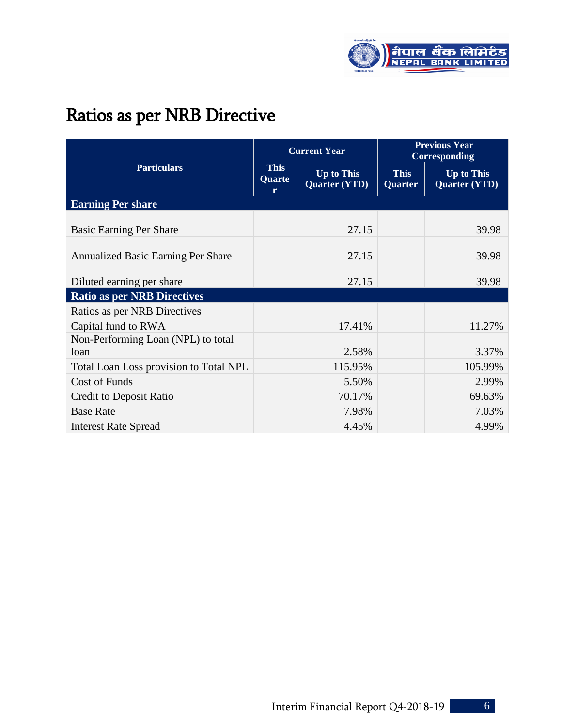

# Ratios as per NRB Directive

|                                            |                            | <b>Current Year</b>                       | <b>Previous Year</b><br><b>Corresponding</b> |                                           |  |
|--------------------------------------------|----------------------------|-------------------------------------------|----------------------------------------------|-------------------------------------------|--|
| <b>Particulars</b>                         | <b>This</b><br>Quarte<br>r | <b>Up to This</b><br><b>Quarter (YTD)</b> | <b>This</b><br><b>Quarter</b>                | <b>Up to This</b><br><b>Quarter (YTD)</b> |  |
| <b>Earning Per share</b>                   |                            |                                           |                                              |                                           |  |
| <b>Basic Earning Per Share</b>             |                            | 27.15                                     |                                              | 39.98                                     |  |
| <b>Annualized Basic Earning Per Share</b>  |                            | 27.15                                     |                                              | 39.98                                     |  |
| Diluted earning per share                  |                            | 27.15                                     |                                              | 39.98                                     |  |
| <b>Ratio as per NRB Directives</b>         |                            |                                           |                                              |                                           |  |
| Ratios as per NRB Directives               |                            |                                           |                                              |                                           |  |
| Capital fund to RWA                        |                            | 17.41%                                    |                                              | 11.27%                                    |  |
| Non-Performing Loan (NPL) to total<br>loan |                            | 2.58%                                     |                                              | 3.37%                                     |  |
| Total Loan Loss provision to Total NPL     |                            | 115.95%                                   |                                              | 105.99%                                   |  |
| Cost of Funds                              |                            | 5.50%                                     |                                              | 2.99%                                     |  |
| Credit to Deposit Ratio                    |                            | 70.17%                                    |                                              | 69.63%                                    |  |
| <b>Base Rate</b>                           |                            | 7.98%                                     |                                              | 7.03%                                     |  |
| <b>Interest Rate Spread</b>                |                            | 4.45%                                     |                                              | 4.99%                                     |  |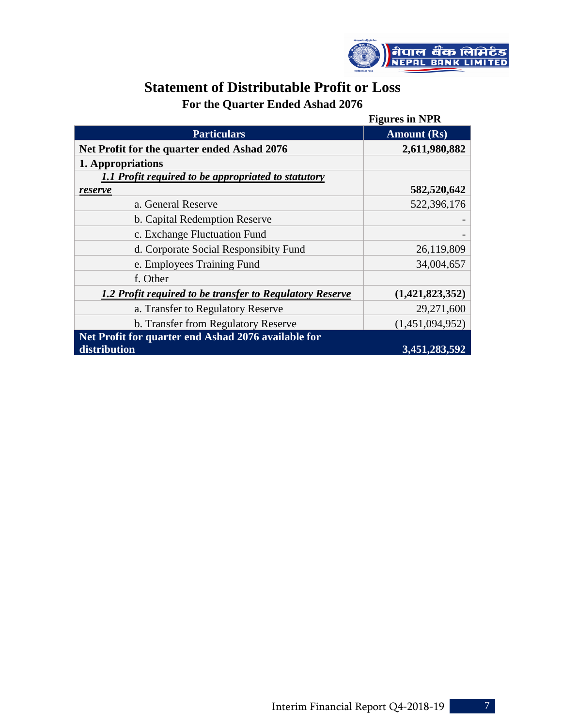

## **Statement of Distributable Profit or Loss For the Quarter Ended Ashad 2076**

|                                                          | <b>Figures in NPR</b> |
|----------------------------------------------------------|-----------------------|
| <b>Particulars</b>                                       | <b>Amount</b> (Rs)    |
| Net Profit for the quarter ended Ashad 2076              | 2,611,980,882         |
| 1. Appropriations                                        |                       |
| 1.1 Profit required to be appropriated to statutory      |                       |
| reserve                                                  | 582,520,642           |
| a. General Reserve                                       | 522,396,176           |
| b. Capital Redemption Reserve                            |                       |
| c. Exchange Fluctuation Fund                             |                       |
| d. Corporate Social Responsibity Fund                    | 26,119,809            |
| e. Employees Training Fund                               | 34,004,657            |
| f. Other                                                 |                       |
| 1.2 Profit required to be transfer to Regulatory Reserve | (1,421,823,352)       |
| a. Transfer to Regulatory Reserve                        | 29,271,600            |
| b. Transfer from Regulatory Reserve                      | (1,451,094,952)       |
| Net Profit for quarter end Ashad 2076 available for      |                       |
| distribution                                             | 3,451,283,592         |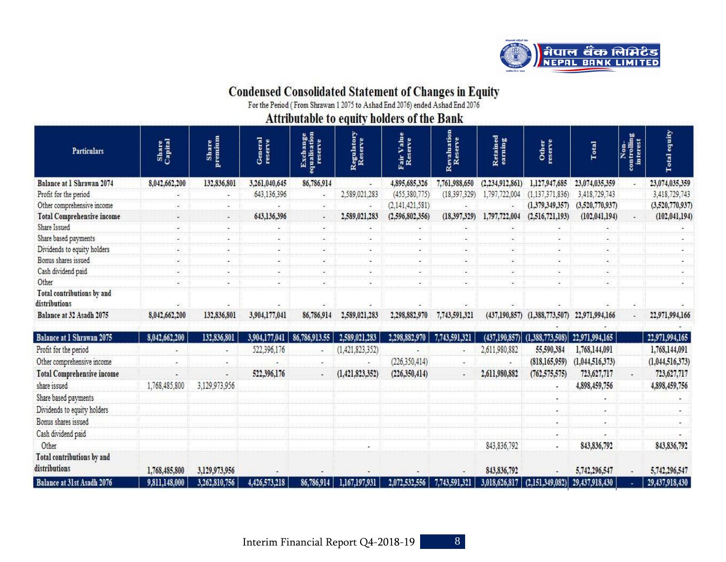

# Condensed Consolidated Statement of Changes in Equity<br>For the Period (From Shrawan 1 2075 to Ashad End 2076) ended Ashad End 2076

Attributable to equity holders of the Bank

| <b>Particulars</b>                          | Share<br>Capital | Share<br>premium         | General<br>reserve | Exchange<br>equalisation<br>reserve | Regulatory<br>Reserve | Fair Value<br>Reserve | Revaluation<br>Reserve | Retained<br>earning | Other<br>reserve                       | Total           | 60.<br>$rac{1}{3}$<br>ontrol<br>intere | equity<br><b>Total</b> |
|---------------------------------------------|------------------|--------------------------|--------------------|-------------------------------------|-----------------------|-----------------------|------------------------|---------------------|----------------------------------------|-----------------|----------------------------------------|------------------------|
| <b>Balance at 1 Shrawan 2074</b>            | 8,042,662,200    | 132,836,801              | 3,261,040,645      | 86,786,914                          |                       | 4,895,685,326         | 7,761,988,650          | (2,234,912,861)     | 1,127,947,685                          | 23,074,035,359  |                                        | 23,074,035,359         |
| Profit for the period                       |                  |                          | 643,136,396        |                                     | 2,589,021,283         | (455,380,775)         | (18, 397, 329)         | 1,797,722,004       | (1, 137, 371, 836)                     | 3,418,729,743   |                                        | 3,418,729,743          |
| Other comprehensive income                  |                  |                          |                    |                                     |                       | (2, 141, 421, 581)    |                        |                     | (1,379,349,357)                        | (3,520,770,937) |                                        | (3,520,770,937)        |
| <b>Total Comprehensive income</b>           | ٠                | $\overline{\phantom{a}}$ | 643,136,396        | $\omega_{\rm{eff}}$                 | 2,589,021,283         | (2,596,802,356)       | (18, 397, 329)         | 1,797,722,004       | (2, 516, 721, 193)                     | (102, 041, 194) |                                        | (102, 041, 194)        |
| Share Issued                                |                  |                          |                    |                                     |                       |                       |                        |                     |                                        |                 |                                        |                        |
| Share based payments                        | ۰                |                          |                    |                                     |                       |                       |                        | $\overline{a}$      |                                        |                 |                                        |                        |
| Dividends to equity holders                 |                  |                          |                    |                                     |                       |                       |                        |                     |                                        |                 |                                        |                        |
| Bonus shares issued                         |                  |                          |                    |                                     |                       |                       |                        |                     |                                        |                 |                                        |                        |
| Cash dividend paid                          |                  |                          |                    |                                     |                       |                       |                        |                     |                                        |                 |                                        |                        |
| Other                                       |                  |                          |                    |                                     |                       |                       |                        |                     |                                        |                 |                                        |                        |
| Total contributions by and<br>distributions |                  |                          |                    |                                     |                       |                       |                        |                     |                                        |                 |                                        |                        |
| Balance at 32 Asadh 2075                    | 8,042,662,200    | 132,836,801              | 3,904,177,041      | 86,786,914                          | 2,589,021,283         | 2,298,882,970         | 7,743,591,321          | (437, 190, 857)     | (1,388,773,507)                        | 22,971,994,166  |                                        | 22,971,994,166         |
| Balance at 1 Shrawan 2075                   | 8,042,662,200    | 132,836,801              | 3,904,177,041      | 86,786,913.55                       | 2,589,021,283         | 2,298,882,970         | 7,743,591,321          |                     | $(437, 190, 857)$ $(1, 388, 773, 508)$ | 22,971,994,165  |                                        | 22,971,994,165         |
| Profit for the period                       |                  |                          | 522,396,176        |                                     | (1,421,823,352)       |                       |                        | 2,611,980,882       | 55,590,384                             | 1,768,144,091   |                                        | 1,768,144,091          |
|                                             |                  |                          |                    |                                     |                       |                       |                        |                     |                                        |                 |                                        |                        |

| Profit for the period                       |               |               | 522,396,176   |            | (1,421,823,352)    |                 |               | 2,611,980,882 | 55,590,384      | 1,768,144,091                                    | 1,768,144,091   |
|---------------------------------------------|---------------|---------------|---------------|------------|--------------------|-----------------|---------------|---------------|-----------------|--------------------------------------------------|-----------------|
| Other comprehensive income                  |               |               |               |            |                    | (226, 350, 414) |               |               | (818, 165, 959) | (1,044,516,373)                                  | (1,044,516,373) |
| <b>Total Comprehensive income</b>           |               |               | 522,396,176   |            | (1, 421, 823, 352) | (226, 350, 414) |               | 2,611,980,882 | (762, 575, 575) | 723,627,717                                      | 723,627,717     |
| share issued                                | 1,768,485,800 | 3,129,973,956 |               |            |                    |                 |               |               |                 | 4,898,459,756                                    | 4,898,459,756   |
| Share based payments                        |               |               |               |            |                    |                 |               |               |                 |                                                  |                 |
| Dividends to equity holders                 |               |               |               |            |                    |                 |               |               |                 |                                                  |                 |
| Bonus shares issued                         |               |               |               |            |                    |                 |               |               |                 |                                                  |                 |
| Cash dividend paid                          |               |               |               |            |                    |                 |               |               |                 |                                                  |                 |
| Other                                       |               |               |               |            |                    |                 |               | 843,836,792   |                 | 843, 836, 792                                    | 843, 836, 792   |
| Total contributions by and<br>distributions | 1,768,485,800 | 3,129,973,956 |               |            |                    |                 |               | 843, 836, 792 |                 | 5,742,296,547                                    | 5,742,296,547   |
| Balance at 31st Asadh 2076                  | 9,811,148,000 | 3,262,810,756 | 4,426,573,218 | 86,786,914 | 1,167,197,931      | 2,072,532,556   | 7,743,591,321 |               |                 | 3,018,626,817   (2,151,349,082)   29,437,918,430 | 29,437,918,430  |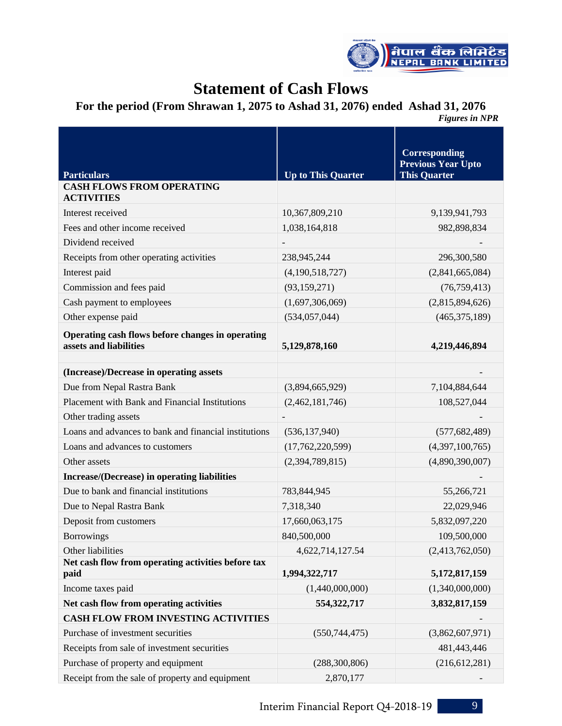

# **Statement of Cash Flows**

## **For the period (From Shrawan 1, 2075 to Ashad 31, 2076) ended Ashad 31, 2076**

*Figures in NPR* 

| <b>Particulars</b>                                                         | <b>Up to This Quarter</b> | Corresponding<br><b>Previous Year Upto</b><br><b>This Quarter</b> |
|----------------------------------------------------------------------------|---------------------------|-------------------------------------------------------------------|
| <b>CASH FLOWS FROM OPERATING</b><br><b>ACTIVITIES</b>                      |                           |                                                                   |
| Interest received                                                          | 10,367,809,210            | 9,139,941,793                                                     |
| Fees and other income received                                             | 1,038,164,818             | 982,898,834                                                       |
| Dividend received                                                          |                           |                                                                   |
| Receipts from other operating activities                                   | 238,945,244               | 296,300,580                                                       |
| Interest paid                                                              | (4,190,518,727)           | (2,841,665,084)                                                   |
| Commission and fees paid                                                   | (93, 159, 271)            | (76, 759, 413)                                                    |
| Cash payment to employees                                                  | (1,697,306,069)           | (2,815,894,626)                                                   |
| Other expense paid                                                         | (534, 057, 044)           | (465, 375, 189)                                                   |
| Operating cash flows before changes in operating<br>assets and liabilities | 5,129,878,160             | 4,219,446,894                                                     |
|                                                                            |                           |                                                                   |
| (Increase)/Decrease in operating assets                                    |                           |                                                                   |
| Due from Nepal Rastra Bank                                                 | (3,894,665,929)           | 7,104,884,644                                                     |
| Placement with Bank and Financial Institutions                             | (2,462,181,746)           | 108,527,044                                                       |
| Other trading assets                                                       |                           |                                                                   |
| Loans and advances to bank and financial institutions                      | (536, 137, 940)           | (577, 682, 489)                                                   |
| Loans and advances to customers                                            | (17,762,220,599)          | (4,397,100,765)                                                   |
| Other assets                                                               | (2,394,789,815)           | (4,890,390,007)                                                   |
| Increase/(Decrease) in operating liabilities                               |                           |                                                                   |
| Due to bank and financial institutions                                     | 783,844,945               | 55,266,721                                                        |
| Due to Nepal Rastra Bank                                                   | 7,318,340                 | 22,029,946                                                        |
| Deposit from customers                                                     | 17,660,063,175            | 5,832,097,220                                                     |
| <b>Borrowings</b>                                                          | 840,500,000               | 109,500,000                                                       |
| Other liabilities                                                          | 4,622,714,127.54          | (2,413,762,050)                                                   |
| Net cash flow from operating activities before tax<br>paid                 | 1,994,322,717             | 5,172,817,159                                                     |
| Income taxes paid                                                          | (1,440,000,000)           | (1,340,000,000)                                                   |
| Net cash flow from operating activities                                    | 554,322,717               | 3,832,817,159                                                     |
| <b>CASH FLOW FROM INVESTING ACTIVITIES</b>                                 |                           |                                                                   |
| Purchase of investment securities                                          | (550, 744, 475)           | (3,862,607,971)                                                   |
| Receipts from sale of investment securities                                |                           | 481,443,446                                                       |
| Purchase of property and equipment                                         | (288, 300, 806)           | (216, 612, 281)                                                   |
| Receipt from the sale of property and equipment                            | 2,870,177                 |                                                                   |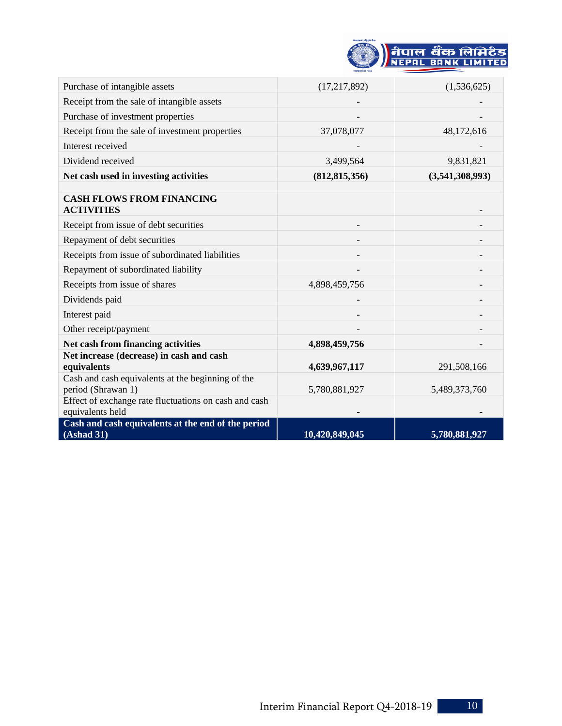

| Purchase of intangible assets                                             | (17,217,892)    | (1,536,625)     |
|---------------------------------------------------------------------------|-----------------|-----------------|
| Receipt from the sale of intangible assets                                |                 |                 |
| Purchase of investment properties                                         |                 |                 |
| Receipt from the sale of investment properties                            | 37,078,077      | 48,172,616      |
| Interest received                                                         |                 |                 |
| Dividend received                                                         | 3,499,564       | 9,831,821       |
| Net cash used in investing activities                                     | (812, 815, 356) | (3,541,308,993) |
| <b>CASH FLOWS FROM FINANCING</b><br><b>ACTIVITIES</b>                     |                 |                 |
| Receipt from issue of debt securities                                     |                 |                 |
| Repayment of debt securities                                              |                 |                 |
| Receipts from issue of subordinated liabilities                           |                 |                 |
| Repayment of subordinated liability                                       |                 |                 |
| Receipts from issue of shares                                             | 4,898,459,756   |                 |
| Dividends paid                                                            |                 |                 |
| Interest paid                                                             |                 |                 |
| Other receipt/payment                                                     |                 |                 |
| Net cash from financing activities                                        | 4,898,459,756   |                 |
| Net increase (decrease) in cash and cash<br>equivalents                   | 4,639,967,117   | 291,508,166     |
| Cash and cash equivalents at the beginning of the<br>period (Shrawan 1)   | 5,780,881,927   | 5,489,373,760   |
| Effect of exchange rate fluctuations on cash and cash<br>equivalents held |                 |                 |
| Cash and cash equivalents at the end of the period<br>(Ashad 31)          | 10,420,849,045  | 5,780,881,927   |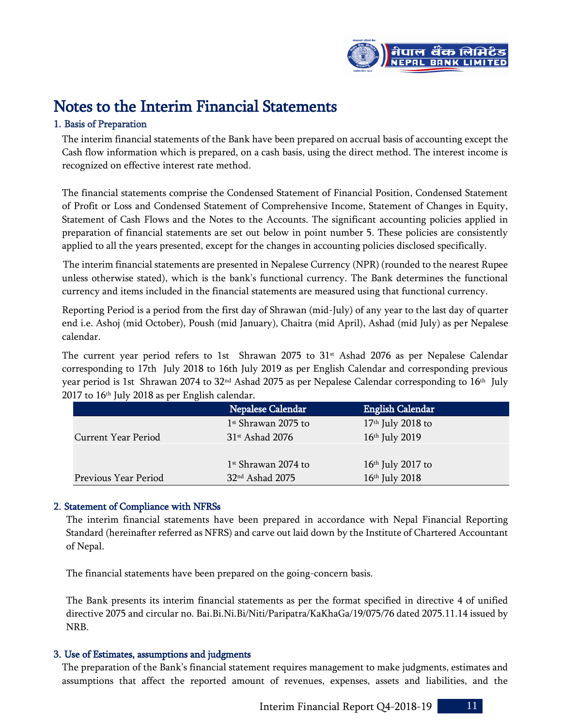

# Notes to the Interim Financial Statements

#### 1. Basis of Preparation

The interim financial statements of the Bank have been prepared on accrual basis of accounting except the Cash flow information which is prepared, on a cash basis, using the direct method. The interest income is recognized on effective interest rate method.

The financial statements comprise the Condensed Statement of Financial Position, Condensed Statement of Profit or Loss and Condensed Statement of Comprehensive Income, Statement of Changes in Equity, Statement of Cash Flows and the Notes to the Accounts. The significant accounting policies applied in preparation of financial statements are set out below in point number 5. These policies are consistently applied to all the years presented, except for the changes in accounting policies disclosed specifically.

 The interim financial statements are presented in Nepalese Currency (NPR) (rounded to the nearest Rupee unless otherwise stated), which is the bank's functional currency. The Bank determines the functional currency and items included in the financial statements are measured using that functional currency.

Reporting Period is a period from the first day of Shrawan (mid-July) of any year to the last day of quarter end i.e. Ashoj (mid October), Poush (mid January), Chaitra (mid April), Ashad (mid July) as per Nepalese calendar.

The current year period refers to 1st Shrawan 2075 to  $31<sup>st</sup>$  Ashad 2076 as per Nepalese Calendar corresponding to 17th July 2018 to 16th July 2019 as per English Calendar and corresponding previous year period is 1st Shrawan 2074 to 32nd Ashad 2075 as per Nepalese Calendar corresponding to 16th July 2017 to 16th July 2018 as per English calendar.

|                      | Nepalese Calendar             | <b>English Calendar</b> |
|----------------------|-------------------------------|-------------------------|
|                      | $1st$ Shrawan 2075 to         | $17th$ July 2018 to     |
| Current Year Period  | $31$ <sup>st</sup> Ashad 2076 | 16th July 2019          |
|                      |                               |                         |
|                      | $1st$ Shrawan 2074 to         | $16th$ July 2017 to     |
| Previous Year Period | 32 <sup>nd</sup> Ashad 2075   | $16th$ July 2018        |

#### 2. Statement of Compliance with NFRSs

The interim financial statements have been prepared in accordance with Nepal Financial Reporting Standard (hereinafter referred as NFRS) and carve out laid down by the Institute of Chartered Accountant of Nepal.

The financial statements have been prepared on the going-concern basis.

The Bank presents its interim financial statements as per the format specified in directive 4 of unified directive 2075 and circular no. Bai.Bi.Ni.Bi/Niti/Paripatra/KaKhaGa/19/075/76 dated 2075.11.14 issued by NRB.

#### 3. Use of Estimates, assumptions and judgments

The preparation of the Bank's financial statement requires management to make judgments, estimates and assumptions that affect the reported amount of revenues, expenses, assets and liabilities, and the

Interim Financial Report Q4-2018-19 11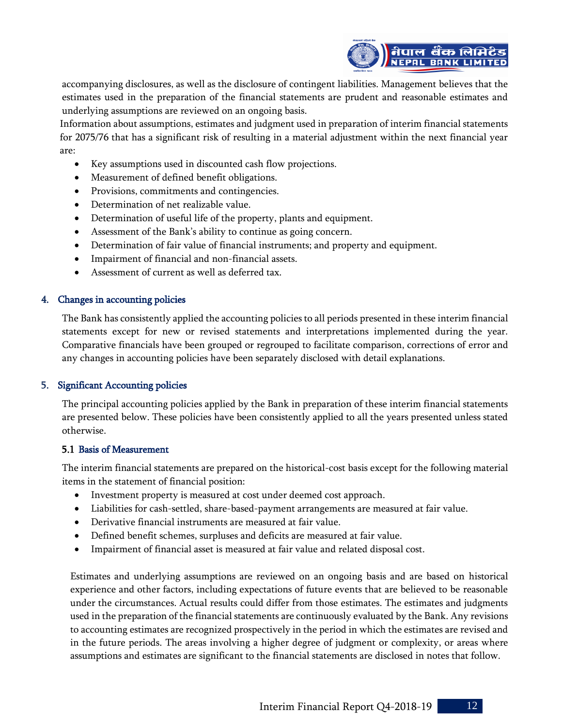

accompanying disclosures, as well as the disclosure of contingent liabilities. Management believes that the estimates used in the preparation of the financial statements are prudent and reasonable estimates and underlying assumptions are reviewed on an ongoing basis.

Information about assumptions, estimates and judgment used in preparation of interim financial statements for 2075/76 that has a significant risk of resulting in a material adjustment within the next financial year are:

- Key assumptions used in discounted cash flow projections.
- Measurement of defined benefit obligations.
- Provisions, commitments and contingencies.
- Determination of net realizable value.
- Determination of useful life of the property, plants and equipment.
- Assessment of the Bank's ability to continue as going concern.
- Determination of fair value of financial instruments; and property and equipment.
- Impairment of financial and non-financial assets.
- Assessment of current as well as deferred tax.

#### 4. Changes in accounting policies

The Bank has consistently applied the accounting policies to all periods presented in these interim financial statements except for new or revised statements and interpretations implemented during the year. Comparative financials have been grouped or regrouped to facilitate comparison, corrections of error and any changes in accounting policies have been separately disclosed with detail explanations.

#### 5. Significant Accounting policies

The principal accounting policies applied by the Bank in preparation of these interim financial statements are presented below. These policies have been consistently applied to all the years presented unless stated otherwise.

#### 5.1 Basis of Measurement

The interim financial statements are prepared on the historical-cost basis except for the following material items in the statement of financial position:

- Investment property is measured at cost under deemed cost approach.
- Liabilities for cash-settled, share-based-payment arrangements are measured at fair value.
- Derivative financial instruments are measured at fair value.
- Defined benefit schemes, surpluses and deficits are measured at fair value.
- Impairment of financial asset is measured at fair value and related disposal cost.

Estimates and underlying assumptions are reviewed on an ongoing basis and are based on historical experience and other factors, including expectations of future events that are believed to be reasonable under the circumstances. Actual results could differ from those estimates. The estimates and judgments used in the preparation of the financial statements are continuously evaluated by the Bank. Any revisions to accounting estimates are recognized prospectively in the period in which the estimates are revised and in the future periods. The areas involving a higher degree of judgment or complexity, or areas where assumptions and estimates are significant to the financial statements are disclosed in notes that follow.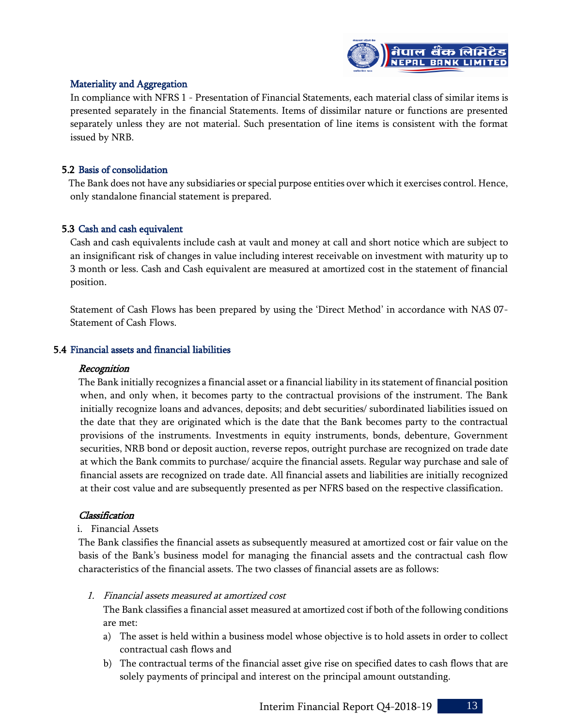

#### Materiality and Aggregation

In compliance with NFRS 1 - Presentation of Financial Statements, each material class of similar items is presented separately in the financial Statements. Items of dissimilar nature or functions are presented separately unless they are not material. Such presentation of line items is consistent with the format issued by NRB.

#### 5.2 Basis of consolidation

The Bank does not have any subsidiaries or special purpose entities over which it exercises control. Hence, only standalone financial statement is prepared.

#### 5.3 Cash and cash equivalent

Cash and cash equivalents include cash at vault and money at call and short notice which are subject to an insignificant risk of changes in value including interest receivable on investment with maturity up to 3 month or less. Cash and Cash equivalent are measured at amortized cost in the statement of financial position.

Statement of Cash Flows has been prepared by using the 'Direct Method' in accordance with NAS 07- Statement of Cash Flows.

#### 5.4 Financial assets and financial liabilities

#### **Recognition**

The Bank initially recognizes a financial asset or a financial liability in its statement of financial position when, and only when, it becomes party to the contractual provisions of the instrument. The Bank initially recognize loans and advances, deposits; and debt securities/ subordinated liabilities issued on the date that they are originated which is the date that the Bank becomes party to the contractual provisions of the instruments. Investments in equity instruments, bonds, debenture, Government securities, NRB bond or deposit auction, reverse repos, outright purchase are recognized on trade date at which the Bank commits to purchase/ acquire the financial assets. Regular way purchase and sale of financial assets are recognized on trade date. All financial assets and liabilities are initially recognized at their cost value and are subsequently presented as per NFRS based on the respective classification.

#### Classification

#### i. Financial Assets

The Bank classifies the financial assets as subsequently measured at amortized cost or fair value on the basis of the Bank's business model for managing the financial assets and the contractual cash flow characteristics of the financial assets. The two classes of financial assets are as follows:

1. Financial assets measured at amortized cost

The Bank classifies a financial asset measured at amortized cost if both of the following conditions are met:

- a) The asset is held within a business model whose objective is to hold assets in order to collect contractual cash flows and
- b) The contractual terms of the financial asset give rise on specified dates to cash flows that are solely payments of principal and interest on the principal amount outstanding.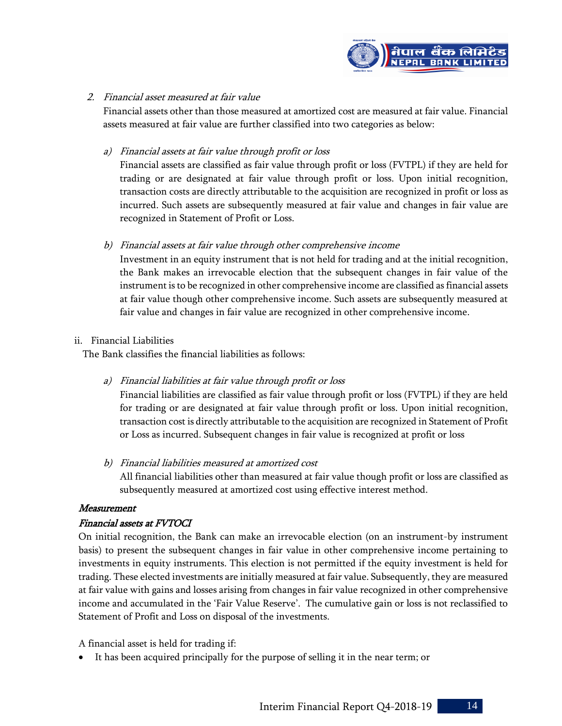

#### 2. Financial asset measured at fair value

Financial assets other than those measured at amortized cost are measured at fair value. Financial assets measured at fair value are further classified into two categories as below:

#### a) Financial assets at fair value through profit or loss

Financial assets are classified as fair value through profit or loss (FVTPL) if they are held for trading or are designated at fair value through profit or loss. Upon initial recognition, transaction costs are directly attributable to the acquisition are recognized in profit or loss as incurred. Such assets are subsequently measured at fair value and changes in fair value are recognized in Statement of Profit or Loss.

#### b) Financial assets at fair value through other comprehensive income

Investment in an equity instrument that is not held for trading and at the initial recognition, the Bank makes an irrevocable election that the subsequent changes in fair value of the instrument is to be recognized in other comprehensive income are classified as financial assets at fair value though other comprehensive income. Such assets are subsequently measured at fair value and changes in fair value are recognized in other comprehensive income.

#### ii. Financial Liabilities

The Bank classifies the financial liabilities as follows:

a) Financial liabilities at fair value through profit or loss

Financial liabilities are classified as fair value through profit or loss (FVTPL) if they are held for trading or are designated at fair value through profit or loss. Upon initial recognition, transaction cost is directly attributable to the acquisition are recognized in Statement of Profit or Loss as incurred. Subsequent changes in fair value is recognized at profit or loss

b) Financial liabilities measured at amortized cost

All financial liabilities other than measured at fair value though profit or loss are classified as subsequently measured at amortized cost using effective interest method.

#### Measurement

#### Financial assets at FVTOCI

On initial recognition, the Bank can make an irrevocable election (on an instrument-by instrument basis) to present the subsequent changes in fair value in other comprehensive income pertaining to investments in equity instruments. This election is not permitted if the equity investment is held for trading. These elected investments are initially measured at fair value. Subsequently, they are measured at fair value with gains and losses arising from changes in fair value recognized in other comprehensive income and accumulated in the 'Fair Value Reserve'. The cumulative gain or loss is not reclassified to Statement of Profit and Loss on disposal of the investments.

A financial asset is held for trading if:

It has been acquired principally for the purpose of selling it in the near term; or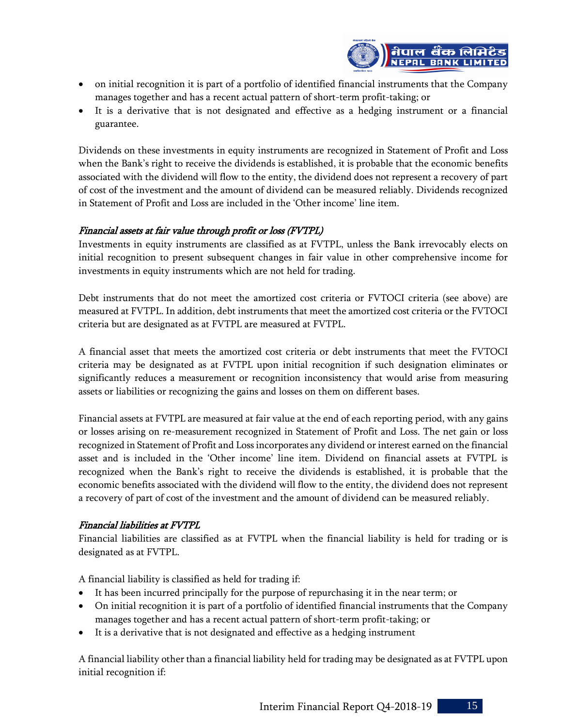

- on initial recognition it is part of a portfolio of identified financial instruments that the Company manages together and has a recent actual pattern of short-term profit-taking; or
- It is a derivative that is not designated and effective as a hedging instrument or a financial guarantee.

Dividends on these investments in equity instruments are recognized in Statement of Profit and Loss when the Bank's right to receive the dividends is established, it is probable that the economic benefits associated with the dividend will flow to the entity, the dividend does not represent a recovery of part of cost of the investment and the amount of dividend can be measured reliably. Dividends recognized in Statement of Profit and Loss are included in the 'Other income' line item.

#### Financial assets at fair value through profit or loss (FVTPL)

Investments in equity instruments are classified as at FVTPL, unless the Bank irrevocably elects on initial recognition to present subsequent changes in fair value in other comprehensive income for investments in equity instruments which are not held for trading.

Debt instruments that do not meet the amortized cost criteria or FVTOCI criteria (see above) are measured at FVTPL. In addition, debt instruments that meet the amortized cost criteria or the FVTOCI criteria but are designated as at FVTPL are measured at FVTPL.

A financial asset that meets the amortized cost criteria or debt instruments that meet the FVTOCI criteria may be designated as at FVTPL upon initial recognition if such designation eliminates or significantly reduces a measurement or recognition inconsistency that would arise from measuring assets or liabilities or recognizing the gains and losses on them on different bases.

Financial assets at FVTPL are measured at fair value at the end of each reporting period, with any gains or losses arising on re-measurement recognized in Statement of Profit and Loss. The net gain or loss recognized in Statement of Profit and Loss incorporates any dividend or interest earned on the financial asset and is included in the 'Other income' line item. Dividend on financial assets at FVTPL is recognized when the Bank's right to receive the dividends is established, it is probable that the economic benefits associated with the dividend will flow to the entity, the dividend does not represent a recovery of part of cost of the investment and the amount of dividend can be measured reliably.

#### Financial liabilities at FVTPL

Financial liabilities are classified as at FVTPL when the financial liability is held for trading or is designated as at FVTPL.

A financial liability is classified as held for trading if:

- It has been incurred principally for the purpose of repurchasing it in the near term; or
- On initial recognition it is part of a portfolio of identified financial instruments that the Company manages together and has a recent actual pattern of short-term profit-taking; or
- It is a derivative that is not designated and effective as a hedging instrument

A financial liability other than a financial liability held for trading may be designated as at FVTPL upon initial recognition if: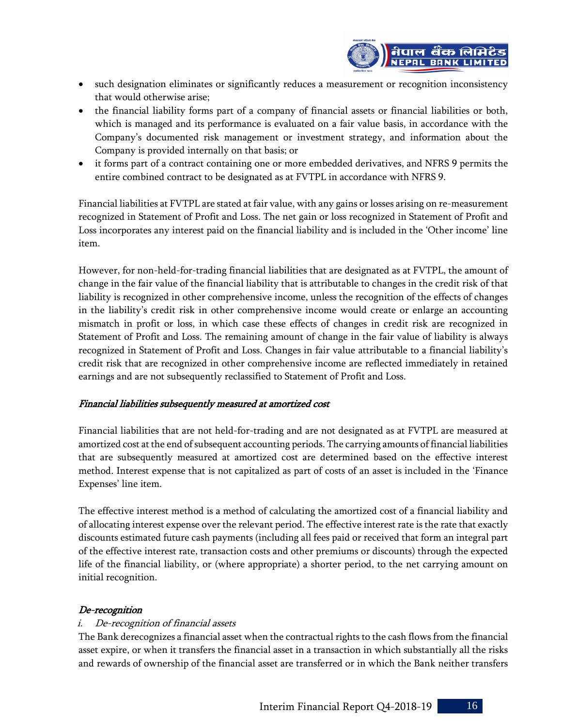

- such designation eliminates or significantly reduces a measurement or recognition inconsistency that would otherwise arise;
- the financial liability forms part of a company of financial assets or financial liabilities or both, which is managed and its performance is evaluated on a fair value basis, in accordance with the Company's documented risk management or investment strategy, and information about the Company is provided internally on that basis; or
- it forms part of a contract containing one or more embedded derivatives, and NFRS 9 permits the entire combined contract to be designated as at FVTPL in accordance with NFRS 9.

Financial liabilities at FVTPL are stated at fair value, with any gains or losses arising on re-measurement recognized in Statement of Profit and Loss. The net gain or loss recognized in Statement of Profit and Loss incorporates any interest paid on the financial liability and is included in the 'Other income' line item.

However, for non-held-for-trading financial liabilities that are designated as at FVTPL, the amount of change in the fair value of the financial liability that is attributable to changes in the credit risk of that liability is recognized in other comprehensive income, unless the recognition of the effects of changes in the liability's credit risk in other comprehensive income would create or enlarge an accounting mismatch in profit or loss, in which case these effects of changes in credit risk are recognized in Statement of Profit and Loss. The remaining amount of change in the fair value of liability is always recognized in Statement of Profit and Loss. Changes in fair value attributable to a financial liability's credit risk that are recognized in other comprehensive income are reflected immediately in retained earnings and are not subsequently reclassified to Statement of Profit and Loss.

#### Financial liabilities subsequently measured at amortized cost

Financial liabilities that are not held-for-trading and are not designated as at FVTPL are measured at amortized cost at the end of subsequent accounting periods. The carrying amounts of financial liabilities that are subsequently measured at amortized cost are determined based on the effective interest method. Interest expense that is not capitalized as part of costs of an asset is included in the 'Finance Expenses' line item.

The effective interest method is a method of calculating the amortized cost of a financial liability and of allocating interest expense over the relevant period. The effective interest rate is the rate that exactly discounts estimated future cash payments (including all fees paid or received that form an integral part of the effective interest rate, transaction costs and other premiums or discounts) through the expected life of the financial liability, or (where appropriate) a shorter period, to the net carrying amount on initial recognition.

#### De-recognition

#### i. De-recognition of financial assets

The Bank derecognizes a financial asset when the contractual rights to the cash flows from the financial asset expire, or when it transfers the financial asset in a transaction in which substantially all the risks and rewards of ownership of the financial asset are transferred or in which the Bank neither transfers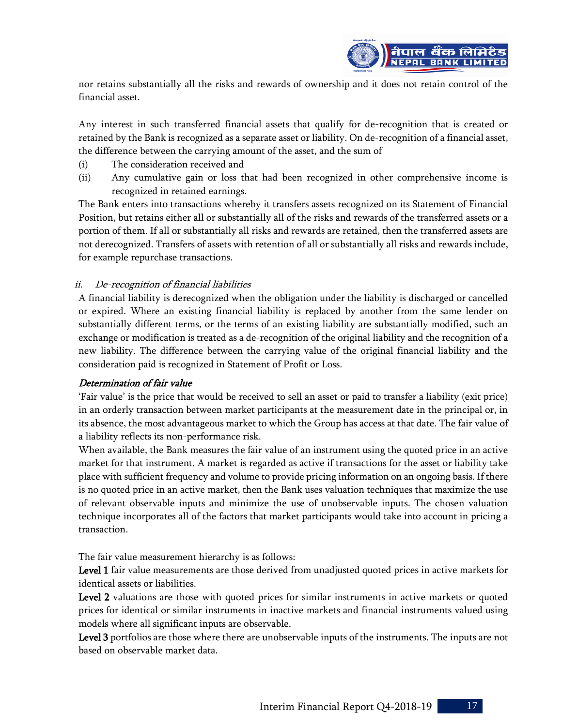

nor retains substantially all the risks and rewards of ownership and it does not retain control of the financial asset.

Any interest in such transferred financial assets that qualify for de-recognition that is created or retained by the Bank is recognized as a separate asset or liability. On de-recognition of a financial asset, the difference between the carrying amount of the asset, and the sum of

- (i) The consideration received and
- (ii) Any cumulative gain or loss that had been recognized in other comprehensive income is recognized in retained earnings.

The Bank enters into transactions whereby it transfers assets recognized on its Statement of Financial Position, but retains either all or substantially all of the risks and rewards of the transferred assets or a portion of them. If all or substantially all risks and rewards are retained, then the transferred assets are not derecognized. Transfers of assets with retention of all or substantially all risks and rewards include, for example repurchase transactions.

#### ii. De-recognition of financial liabilities

A financial liability is derecognized when the obligation under the liability is discharged or cancelled or expired. Where an existing financial liability is replaced by another from the same lender on substantially different terms, or the terms of an existing liability are substantially modified, such an exchange or modification is treated as a de-recognition of the original liability and the recognition of a new liability. The difference between the carrying value of the original financial liability and the consideration paid is recognized in Statement of Profit or Loss.

#### Determination of fair value

'Fair value' is the price that would be received to sell an asset or paid to transfer a liability (exit price) in an orderly transaction between market participants at the measurement date in the principal or, in its absence, the most advantageous market to which the Group has access at that date. The fair value of a liability reflects its non-performance risk.

When available, the Bank measures the fair value of an instrument using the quoted price in an active market for that instrument. A market is regarded as active if transactions for the asset or liability take place with sufficient frequency and volume to provide pricing information on an ongoing basis. If there is no quoted price in an active market, then the Bank uses valuation techniques that maximize the use of relevant observable inputs and minimize the use of unobservable inputs. The chosen valuation technique incorporates all of the factors that market participants would take into account in pricing a transaction.

The fair value measurement hierarchy is as follows:

Level 1 fair value measurements are those derived from unadjusted quoted prices in active markets for identical assets or liabilities.

Level 2 valuations are those with quoted prices for similar instruments in active markets or quoted prices for identical or similar instruments in inactive markets and financial instruments valued using models where all significant inputs are observable.

Level 3 portfolios are those where there are unobservable inputs of the instruments. The inputs are not based on observable market data.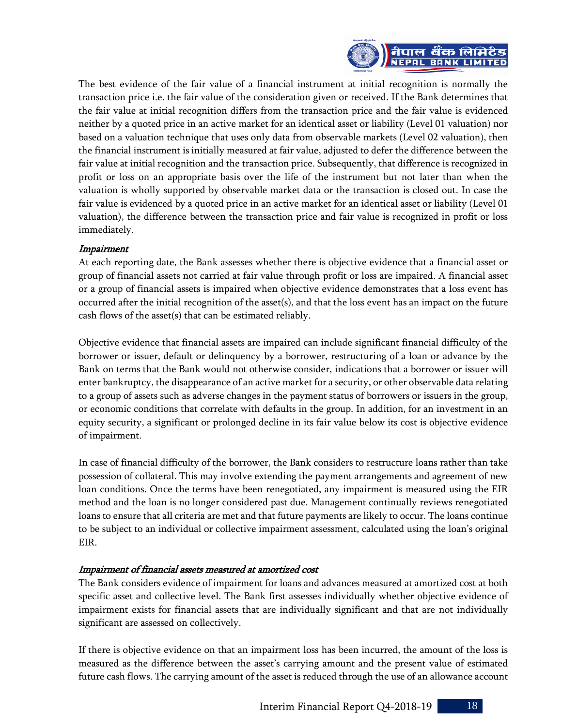

The best evidence of the fair value of a financial instrument at initial recognition is normally the transaction price i.e. the fair value of the consideration given or received. If the Bank determines that the fair value at initial recognition differs from the transaction price and the fair value is evidenced neither by a quoted price in an active market for an identical asset or liability (Level 01 valuation) nor based on a valuation technique that uses only data from observable markets (Level 02 valuation), then the financial instrument is initially measured at fair value, adjusted to defer the difference between the fair value at initial recognition and the transaction price. Subsequently, that difference is recognized in profit or loss on an appropriate basis over the life of the instrument but not later than when the valuation is wholly supported by observable market data or the transaction is closed out. In case the fair value is evidenced by a quoted price in an active market for an identical asset or liability (Level 01 valuation), the difference between the transaction price and fair value is recognized in profit or loss immediately.

#### Impairment

At each reporting date, the Bank assesses whether there is objective evidence that a financial asset or group of financial assets not carried at fair value through profit or loss are impaired. A financial asset or a group of financial assets is impaired when objective evidence demonstrates that a loss event has occurred after the initial recognition of the asset(s), and that the loss event has an impact on the future cash flows of the asset(s) that can be estimated reliably.

Objective evidence that financial assets are impaired can include significant financial difficulty of the borrower or issuer, default or delinquency by a borrower, restructuring of a loan or advance by the Bank on terms that the Bank would not otherwise consider, indications that a borrower or issuer will enter bankruptcy, the disappearance of an active market for a security, or other observable data relating to a group of assets such as adverse changes in the payment status of borrowers or issuers in the group, or economic conditions that correlate with defaults in the group. In addition, for an investment in an equity security, a significant or prolonged decline in its fair value below its cost is objective evidence of impairment.

In case of financial difficulty of the borrower, the Bank considers to restructure loans rather than take possession of collateral. This may involve extending the payment arrangements and agreement of new loan conditions. Once the terms have been renegotiated, any impairment is measured using the EIR method and the loan is no longer considered past due. Management continually reviews renegotiated loans to ensure that all criteria are met and that future payments are likely to occur. The loans continue to be subject to an individual or collective impairment assessment, calculated using the loan's original EIR.

#### Impairment of financial assets measured at amortized cost

The Bank considers evidence of impairment for loans and advances measured at amortized cost at both specific asset and collective level. The Bank first assesses individually whether objective evidence of impairment exists for financial assets that are individually significant and that are not individually significant are assessed on collectively.

If there is objective evidence on that an impairment loss has been incurred, the amount of the loss is measured as the difference between the asset's carrying amount and the present value of estimated future cash flows. The carrying amount of the asset is reduced through the use of an allowance account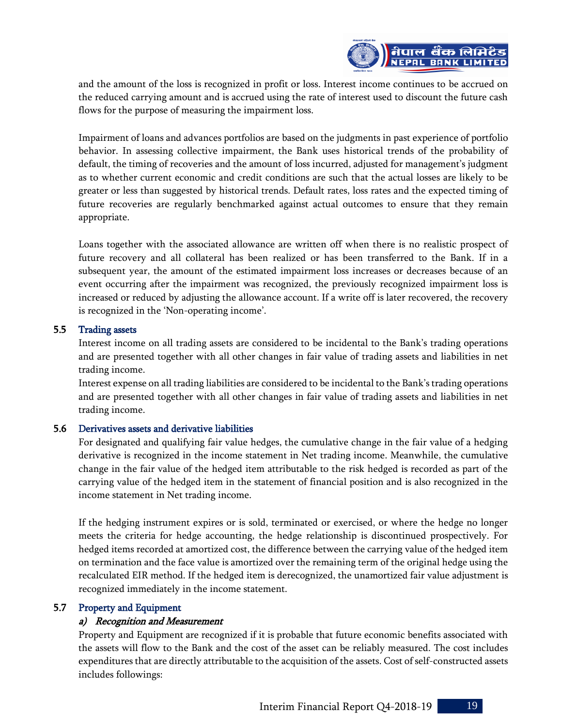

and the amount of the loss is recognized in profit or loss. Interest income continues to be accrued on the reduced carrying amount and is accrued using the rate of interest used to discount the future cash flows for the purpose of measuring the impairment loss.

Impairment of loans and advances portfolios are based on the judgments in past experience of portfolio behavior. In assessing collective impairment, the Bank uses historical trends of the probability of default, the timing of recoveries and the amount of loss incurred, adjusted for management's judgment as to whether current economic and credit conditions are such that the actual losses are likely to be greater or less than suggested by historical trends. Default rates, loss rates and the expected timing of future recoveries are regularly benchmarked against actual outcomes to ensure that they remain appropriate.

Loans together with the associated allowance are written off when there is no realistic prospect of future recovery and all collateral has been realized or has been transferred to the Bank. If in a subsequent year, the amount of the estimated impairment loss increases or decreases because of an event occurring after the impairment was recognized, the previously recognized impairment loss is increased or reduced by adjusting the allowance account. If a write off is later recovered, the recovery is recognized in the 'Non-operating income'.

#### 5.5 Trading assets

Interest income on all trading assets are considered to be incidental to the Bank's trading operations and are presented together with all other changes in fair value of trading assets and liabilities in net trading income.

Interest expense on all trading liabilities are considered to be incidental to the Bank's trading operations and are presented together with all other changes in fair value of trading assets and liabilities in net trading income.

#### 5.6 Derivatives assets and derivative liabilities

For designated and qualifying fair value hedges, the cumulative change in the fair value of a hedging derivative is recognized in the income statement in Net trading income. Meanwhile, the cumulative change in the fair value of the hedged item attributable to the risk hedged is recorded as part of the carrying value of the hedged item in the statement of financial position and is also recognized in the income statement in Net trading income.

If the hedging instrument expires or is sold, terminated or exercised, or where the hedge no longer meets the criteria for hedge accounting, the hedge relationship is discontinued prospectively. For hedged items recorded at amortized cost, the difference between the carrying value of the hedged item on termination and the face value is amortized over the remaining term of the original hedge using the recalculated EIR method. If the hedged item is derecognized, the unamortized fair value adjustment is recognized immediately in the income statement.

#### 5.7 Property and Equipment

#### a) Recognition and Measurement

Property and Equipment are recognized if it is probable that future economic benefits associated with the assets will flow to the Bank and the cost of the asset can be reliably measured. The cost includes expenditures that are directly attributable to the acquisition of the assets. Cost of self-constructed assets includes followings: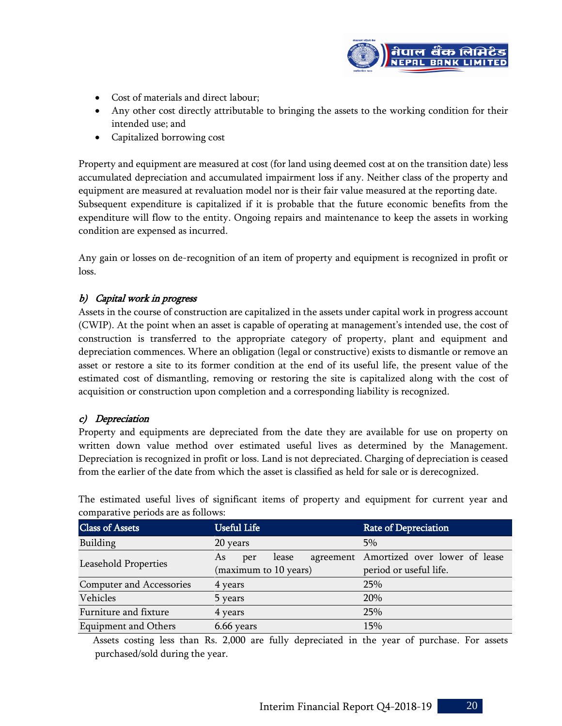

- Cost of materials and direct labour;
- Any other cost directly attributable to bringing the assets to the working condition for their intended use; and
- Capitalized borrowing cost

Property and equipment are measured at cost (for land using deemed cost at on the transition date) less accumulated depreciation and accumulated impairment loss if any. Neither class of the property and equipment are measured at revaluation model nor is their fair value measured at the reporting date. Subsequent expenditure is capitalized if it is probable that the future economic benefits from the expenditure will flow to the entity. Ongoing repairs and maintenance to keep the assets in working condition are expensed as incurred.

Any gain or losses on de-recognition of an item of property and equipment is recognized in profit or loss.

#### b) Capital work in progress

Assets in the course of construction are capitalized in the assets under capital work in progress account (CWIP). At the point when an asset is capable of operating at management's intended use, the cost of construction is transferred to the appropriate category of property, plant and equipment and depreciation commences. Where an obligation (legal or constructive) exists to dismantle or remove an asset or restore a site to its former condition at the end of its useful life, the present value of the estimated cost of dismantling, removing or restoring the site is capitalized along with the cost of acquisition or construction upon completion and a corresponding liability is recognized.

#### c) Depreciation

Property and equipments are depreciated from the date they are available for use on property on written down value method over estimated useful lives as determined by the Management. Depreciation is recognized in profit or loss. Land is not depreciated. Charging of depreciation is ceased from the earlier of the date from which the asset is classified as held for sale or is derecognized.

| comparative periods are as rono ws. |                       |                                         |  |  |  |  |  |
|-------------------------------------|-----------------------|-----------------------------------------|--|--|--|--|--|
| <b>Class of Assets</b>              | <b>Useful Life</b>    | <b>Rate of Depreciation</b>             |  |  |  |  |  |
| Building                            | 20 years              | 5%                                      |  |  |  |  |  |
| Leasehold Properties                | As<br>lease<br>per    | agreement Amortized over lower of lease |  |  |  |  |  |
|                                     | (maximum to 10 years) | period or useful life.                  |  |  |  |  |  |
| Computer and Accessories            | 4 years               | 25%                                     |  |  |  |  |  |
| Vehicles                            | 5 years               | 20%                                     |  |  |  |  |  |
| Furniture and fixture               | 25%<br>4 years        |                                         |  |  |  |  |  |
| <b>Equipment and Others</b>         | 6.66 years            | 15%                                     |  |  |  |  |  |

The estimated useful lives of significant items of property and equipment for current year and comparative periods are as follows:

 Assets costing less than Rs. 2,000 are fully depreciated in the year of purchase. For assets purchased/sold during the year.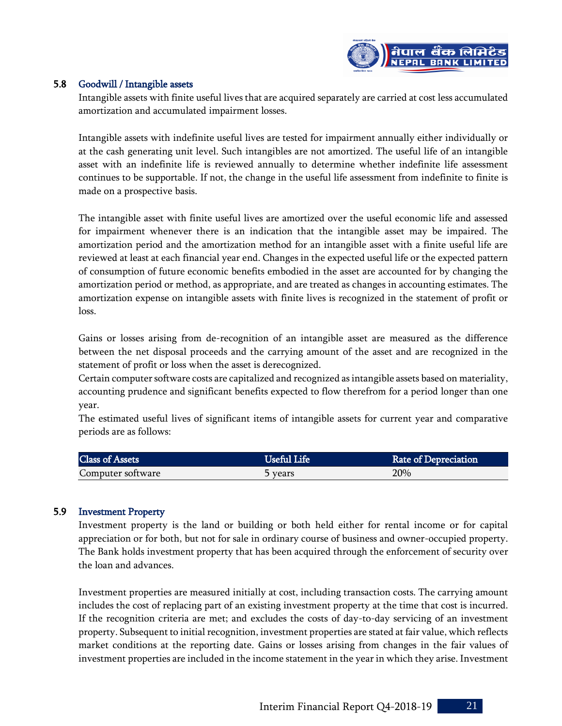

#### 5.8 Goodwill / Intangible assets

Intangible assets with finite useful lives that are acquired separately are carried at cost less accumulated amortization and accumulated impairment losses.

Intangible assets with indefinite useful lives are tested for impairment annually either individually or at the cash generating unit level. Such intangibles are not amortized. The useful life of an intangible asset with an indefinite life is reviewed annually to determine whether indefinite life assessment continues to be supportable. If not, the change in the useful life assessment from indefinite to finite is made on a prospective basis.

The intangible asset with finite useful lives are amortized over the useful economic life and assessed for impairment whenever there is an indication that the intangible asset may be impaired. The amortization period and the amortization method for an intangible asset with a finite useful life are reviewed at least at each financial year end. Changes in the expected useful life or the expected pattern of consumption of future economic benefits embodied in the asset are accounted for by changing the amortization period or method, as appropriate, and are treated as changes in accounting estimates. The amortization expense on intangible assets with finite lives is recognized in the statement of profit or loss.

Gains or losses arising from de-recognition of an intangible asset are measured as the difference between the net disposal proceeds and the carrying amount of the asset and are recognized in the statement of profit or loss when the asset is derecognized.

Certain computer software costs are capitalized and recognized as intangible assets based on materiality, accounting prudence and significant benefits expected to flow therefrom for a period longer than one year.

The estimated useful lives of significant items of intangible assets for current year and comparative periods are as follows:

| Class of Assets   | Useful Life | <b>Rate of Depreciation</b> |
|-------------------|-------------|-----------------------------|
| Computer software | b years     | 20%                         |

#### 5.9 Investment Property

Investment property is the land or building or both held either for rental income or for capital appreciation or for both, but not for sale in ordinary course of business and owner-occupied property. The Bank holds investment property that has been acquired through the enforcement of security over the loan and advances.

Investment properties are measured initially at cost, including transaction costs. The carrying amount includes the cost of replacing part of an existing investment property at the time that cost is incurred. If the recognition criteria are met; and excludes the costs of day-to-day servicing of an investment property. Subsequent to initial recognition, investment properties are stated at fair value, which reflects market conditions at the reporting date. Gains or losses arising from changes in the fair values of investment properties are included in the income statement in the year in which they arise. Investment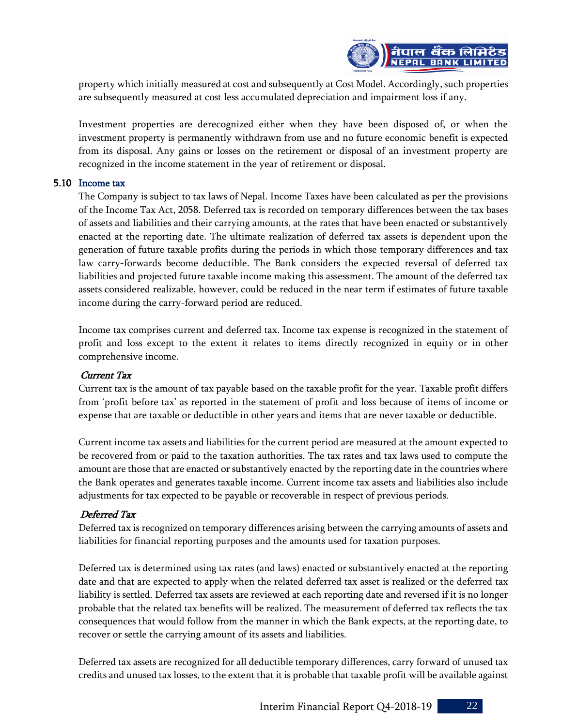

property which initially measured at cost and subsequently at Cost Model. Accordingly, such properties are subsequently measured at cost less accumulated depreciation and impairment loss if any.

Investment properties are derecognized either when they have been disposed of, or when the investment property is permanently withdrawn from use and no future economic benefit is expected from its disposal. Any gains or losses on the retirement or disposal of an investment property are recognized in the income statement in the year of retirement or disposal.

#### 5.10 Income tax

The Company is subject to tax laws of Nepal. Income Taxes have been calculated as per the provisions of the Income Tax Act, 2058. Deferred tax is recorded on temporary differences between the tax bases of assets and liabilities and their carrying amounts, at the rates that have been enacted or substantively enacted at the reporting date. The ultimate realization of deferred tax assets is dependent upon the generation of future taxable profits during the periods in which those temporary differences and tax law carry-forwards become deductible. The Bank considers the expected reversal of deferred tax liabilities and projected future taxable income making this assessment. The amount of the deferred tax assets considered realizable, however, could be reduced in the near term if estimates of future taxable income during the carry-forward period are reduced.

Income tax comprises current and deferred tax. Income tax expense is recognized in the statement of profit and loss except to the extent it relates to items directly recognized in equity or in other comprehensive income.

#### Current Tax

Current tax is the amount of tax payable based on the taxable profit for the year. Taxable profit differs from 'profit before tax' as reported in the statement of profit and loss because of items of income or expense that are taxable or deductible in other years and items that are never taxable or deductible.

Current income tax assets and liabilities for the current period are measured at the amount expected to be recovered from or paid to the taxation authorities. The tax rates and tax laws used to compute the amount are those that are enacted or substantively enacted by the reporting date in the countries where the Bank operates and generates taxable income. Current income tax assets and liabilities also include adjustments for tax expected to be payable or recoverable in respect of previous periods.

#### Deferred Tax

Deferred tax is recognized on temporary differences arising between the carrying amounts of assets and liabilities for financial reporting purposes and the amounts used for taxation purposes.

Deferred tax is determined using tax rates (and laws) enacted or substantively enacted at the reporting date and that are expected to apply when the related deferred tax asset is realized or the deferred tax liability is settled. Deferred tax assets are reviewed at each reporting date and reversed if it is no longer probable that the related tax benefits will be realized. The measurement of deferred tax reflects the tax consequences that would follow from the manner in which the Bank expects, at the reporting date, to recover or settle the carrying amount of its assets and liabilities.

Deferred tax assets are recognized for all deductible temporary differences, carry forward of unused tax credits and unused tax losses, to the extent that it is probable that taxable profit will be available against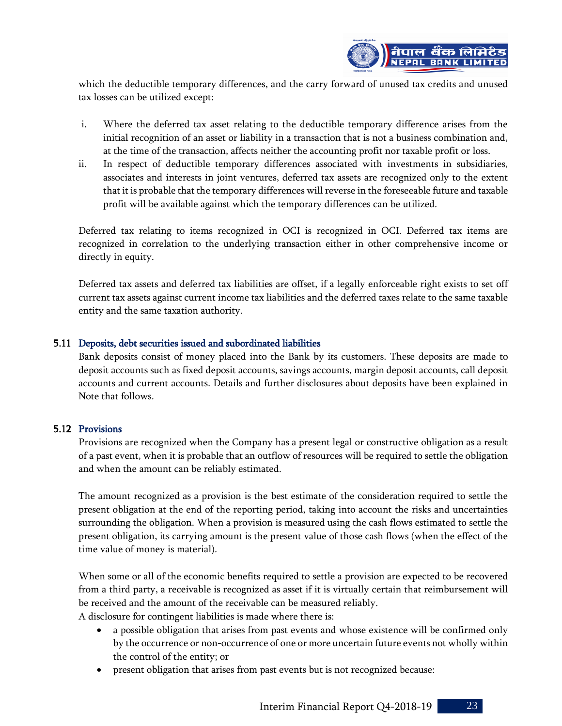

which the deductible temporary differences, and the carry forward of unused tax credits and unused tax losses can be utilized except:

- i. Where the deferred tax asset relating to the deductible temporary difference arises from the initial recognition of an asset or liability in a transaction that is not a business combination and, at the time of the transaction, affects neither the accounting profit nor taxable profit or loss.
- ii. In respect of deductible temporary differences associated with investments in subsidiaries, associates and interests in joint ventures, deferred tax assets are recognized only to the extent that it is probable that the temporary differences will reverse in the foreseeable future and taxable profit will be available against which the temporary differences can be utilized.

Deferred tax relating to items recognized in OCI is recognized in OCI. Deferred tax items are recognized in correlation to the underlying transaction either in other comprehensive income or directly in equity.

Deferred tax assets and deferred tax liabilities are offset, if a legally enforceable right exists to set off current tax assets against current income tax liabilities and the deferred taxes relate to the same taxable entity and the same taxation authority.

#### 5.11 Deposits, debt securities issued and subordinated liabilities

Bank deposits consist of money placed into the Bank by its customers. These deposits are made to deposit accounts such as fixed deposit accounts, savings accounts, margin deposit accounts, call deposit accounts and current accounts. Details and further disclosures about deposits have been explained in Note that follows.

#### 5.12 Provisions

Provisions are recognized when the Company has a present legal or constructive obligation as a result of a past event, when it is probable that an outflow of resources will be required to settle the obligation and when the amount can be reliably estimated.

The amount recognized as a provision is the best estimate of the consideration required to settle the present obligation at the end of the reporting period, taking into account the risks and uncertainties surrounding the obligation. When a provision is measured using the cash flows estimated to settle the present obligation, its carrying amount is the present value of those cash flows (when the effect of the time value of money is material).

When some or all of the economic benefits required to settle a provision are expected to be recovered from a third party, a receivable is recognized as asset if it is virtually certain that reimbursement will be received and the amount of the receivable can be measured reliably. A disclosure for contingent liabilities is made where there is:

- a possible obligation that arises from past events and whose existence will be confirmed only by the occurrence or non-occurrence of one or more uncertain future events not wholly within the control of the entity; or
- present obligation that arises from past events but is not recognized because: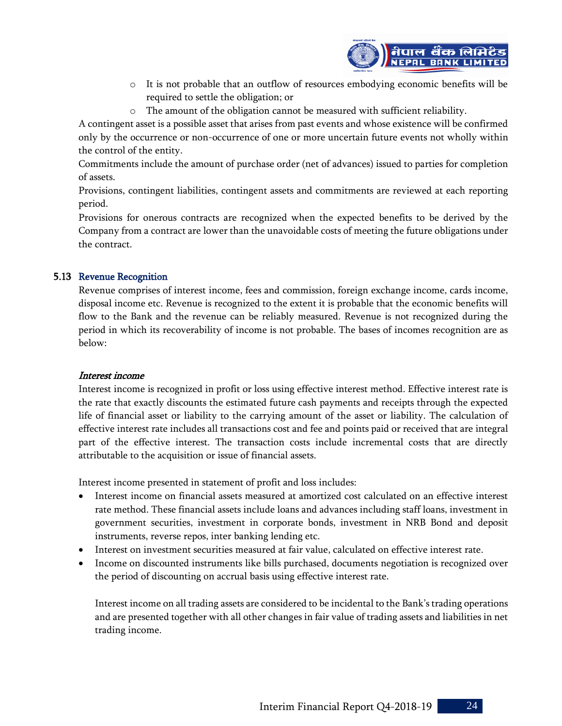

- o It is not probable that an outflow of resources embodying economic benefits will be required to settle the obligation; or
- o The amount of the obligation cannot be measured with sufficient reliability.

A contingent asset is a possible asset that arises from past events and whose existence will be confirmed only by the occurrence or non-occurrence of one or more uncertain future events not wholly within the control of the entity.

Commitments include the amount of purchase order (net of advances) issued to parties for completion of assets.

Provisions, contingent liabilities, contingent assets and commitments are reviewed at each reporting period.

Provisions for onerous contracts are recognized when the expected benefits to be derived by the Company from a contract are lower than the unavoidable costs of meeting the future obligations under the contract.

#### 5.13 Revenue Recognition

Revenue comprises of interest income, fees and commission, foreign exchange income, cards income, disposal income etc. Revenue is recognized to the extent it is probable that the economic benefits will flow to the Bank and the revenue can be reliably measured. Revenue is not recognized during the period in which its recoverability of income is not probable. The bases of incomes recognition are as below:

#### Interest income

Interest income is recognized in profit or loss using effective interest method. Effective interest rate is the rate that exactly discounts the estimated future cash payments and receipts through the expected life of financial asset or liability to the carrying amount of the asset or liability. The calculation of effective interest rate includes all transactions cost and fee and points paid or received that are integral part of the effective interest. The transaction costs include incremental costs that are directly attributable to the acquisition or issue of financial assets.

Interest income presented in statement of profit and loss includes:

- Interest income on financial assets measured at amortized cost calculated on an effective interest rate method. These financial assets include loans and advances including staff loans, investment in government securities, investment in corporate bonds, investment in NRB Bond and deposit instruments, reverse repos, inter banking lending etc.
- Interest on investment securities measured at fair value, calculated on effective interest rate.
- Income on discounted instruments like bills purchased, documents negotiation is recognized over the period of discounting on accrual basis using effective interest rate.

Interest income on all trading assets are considered to be incidental to the Bank's trading operations and are presented together with all other changes in fair value of trading assets and liabilities in net trading income.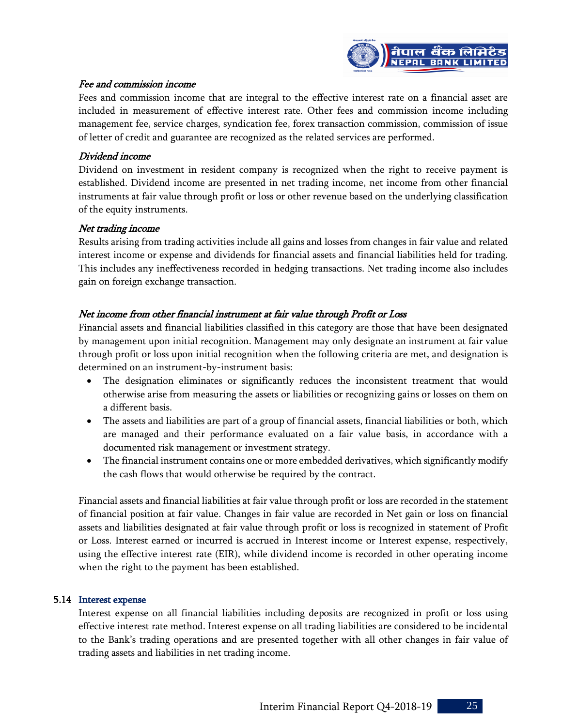

#### Fee and commission income

Fees and commission income that are integral to the effective interest rate on a financial asset are included in measurement of effective interest rate. Other fees and commission income including management fee, service charges, syndication fee, forex transaction commission, commission of issue of letter of credit and guarantee are recognized as the related services are performed.

#### Dividend income

Dividend on investment in resident company is recognized when the right to receive payment is established. Dividend income are presented in net trading income, net income from other financial instruments at fair value through profit or loss or other revenue based on the underlying classification of the equity instruments.

#### Net trading income

Results arising from trading activities include all gains and losses from changes in fair value and related interest income or expense and dividends for financial assets and financial liabilities held for trading. This includes any ineffectiveness recorded in hedging transactions. Net trading income also includes gain on foreign exchange transaction.

#### Net income from other financial instrument at fair value through Profit or Loss

Financial assets and financial liabilities classified in this category are those that have been designated by management upon initial recognition. Management may only designate an instrument at fair value through profit or loss upon initial recognition when the following criteria are met, and designation is determined on an instrument-by-instrument basis:

- The designation eliminates or significantly reduces the inconsistent treatment that would otherwise arise from measuring the assets or liabilities or recognizing gains or losses on them on a different basis.
- The assets and liabilities are part of a group of financial assets, financial liabilities or both, which are managed and their performance evaluated on a fair value basis, in accordance with a documented risk management or investment strategy.
- The financial instrument contains one or more embedded derivatives, which significantly modify the cash flows that would otherwise be required by the contract.

Financial assets and financial liabilities at fair value through profit or loss are recorded in the statement of financial position at fair value. Changes in fair value are recorded in Net gain or loss on financial assets and liabilities designated at fair value through profit or loss is recognized in statement of Profit or Loss. Interest earned or incurred is accrued in Interest income or Interest expense, respectively, using the effective interest rate (EIR), while dividend income is recorded in other operating income when the right to the payment has been established.

#### 5.14 Interest expense

Interest expense on all financial liabilities including deposits are recognized in profit or loss using effective interest rate method. Interest expense on all trading liabilities are considered to be incidental to the Bank's trading operations and are presented together with all other changes in fair value of trading assets and liabilities in net trading income.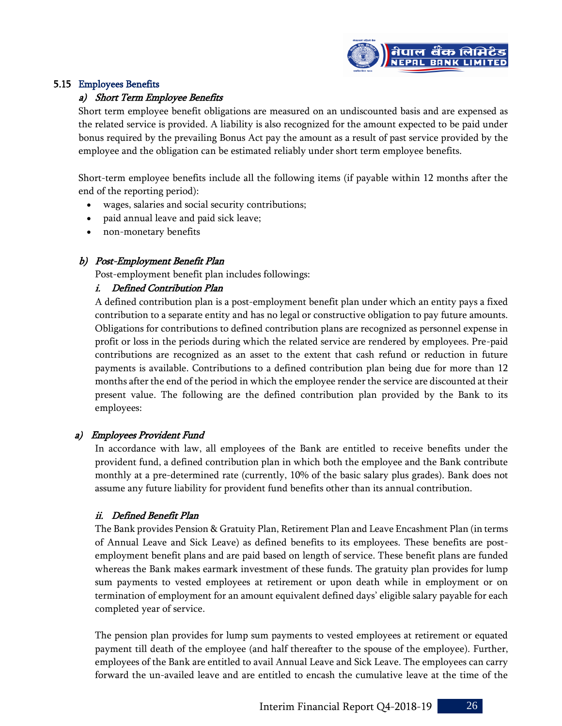

#### 5.15 Employees Benefits

#### a) Short Term Employee Benefits

Short term employee benefit obligations are measured on an undiscounted basis and are expensed as the related service is provided. A liability is also recognized for the amount expected to be paid under bonus required by the prevailing Bonus Act pay the amount as a result of past service provided by the employee and the obligation can be estimated reliably under short term employee benefits.

Short-term employee benefits include all the following items (if payable within 12 months after the end of the reporting period):

- wages, salaries and social security contributions;
- paid annual leave and paid sick leave;
- non-monetary benefits

#### b) Post-Employment Benefit Plan

Post-employment benefit plan includes followings:

#### i. Defined Contribution Plan

A defined contribution plan is a post-employment benefit plan under which an entity pays a fixed contribution to a separate entity and has no legal or constructive obligation to pay future amounts. Obligations for contributions to defined contribution plans are recognized as personnel expense in profit or loss in the periods during which the related service are rendered by employees. Pre-paid contributions are recognized as an asset to the extent that cash refund or reduction in future payments is available. Contributions to a defined contribution plan being due for more than 12 months after the end of the period in which the employee render the service are discounted at their present value. The following are the defined contribution plan provided by the Bank to its employees:

#### a) Employees Provident Fund

In accordance with law, all employees of the Bank are entitled to receive benefits under the provident fund, a defined contribution plan in which both the employee and the Bank contribute monthly at a pre-determined rate (currently, 10% of the basic salary plus grades). Bank does not assume any future liability for provident fund benefits other than its annual contribution.

#### ii. Defined Benefit Plan

The Bank provides Pension & Gratuity Plan, Retirement Plan and Leave Encashment Plan (in terms of Annual Leave and Sick Leave) as defined benefits to its employees. These benefits are postemployment benefit plans and are paid based on length of service. These benefit plans are funded whereas the Bank makes earmark investment of these funds. The gratuity plan provides for lump sum payments to vested employees at retirement or upon death while in employment or on termination of employment for an amount equivalent defined days' eligible salary payable for each completed year of service.

The pension plan provides for lump sum payments to vested employees at retirement or equated payment till death of the employee (and half thereafter to the spouse of the employee). Further, employees of the Bank are entitled to avail Annual Leave and Sick Leave. The employees can carry forward the un-availed leave and are entitled to encash the cumulative leave at the time of the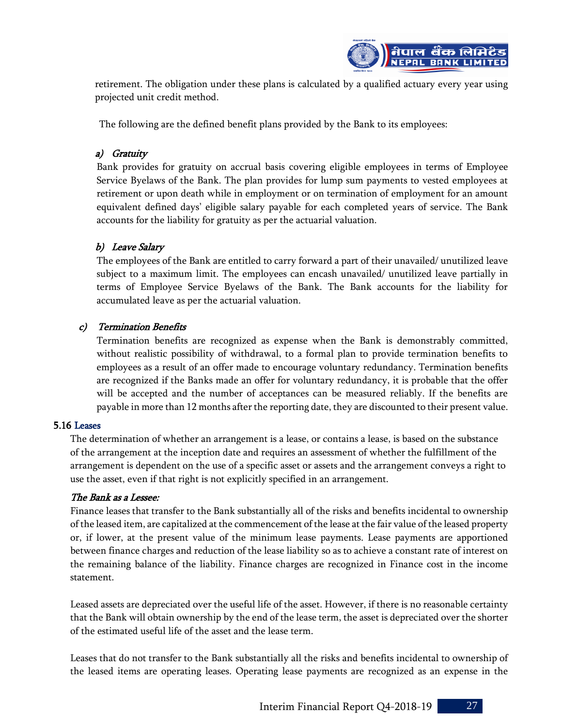

retirement. The obligation under these plans is calculated by a qualified actuary every year using projected unit credit method.

The following are the defined benefit plans provided by the Bank to its employees:

#### a) Gratuity

Bank provides for gratuity on accrual basis covering eligible employees in terms of Employee Service Byelaws of the Bank. The plan provides for lump sum payments to vested employees at retirement or upon death while in employment or on termination of employment for an amount equivalent defined days' eligible salary payable for each completed years of service. The Bank accounts for the liability for gratuity as per the actuarial valuation.

#### b) Leave Salary

The employees of the Bank are entitled to carry forward a part of their unavailed/ unutilized leave subject to a maximum limit. The employees can encash unavailed/ unutilized leave partially in terms of Employee Service Byelaws of the Bank. The Bank accounts for the liability for accumulated leave as per the actuarial valuation.

#### c) Termination Benefits

Termination benefits are recognized as expense when the Bank is demonstrably committed, without realistic possibility of withdrawal, to a formal plan to provide termination benefits to employees as a result of an offer made to encourage voluntary redundancy. Termination benefits are recognized if the Banks made an offer for voluntary redundancy, it is probable that the offer will be accepted and the number of acceptances can be measured reliably. If the benefits are payable in more than 12 months after the reporting date, they are discounted to their present value.

#### 5.16 Leases

The determination of whether an arrangement is a lease, or contains a lease, is based on the substance of the arrangement at the inception date and requires an assessment of whether the fulfillment of the arrangement is dependent on the use of a specific asset or assets and the arrangement conveys a right to use the asset, even if that right is not explicitly specified in an arrangement.

#### The Bank as a Lessee:

Finance leases that transfer to the Bank substantially all of the risks and benefits incidental to ownership of the leased item, are capitalized at the commencement of the lease at the fair value of the leased property or, if lower, at the present value of the minimum lease payments. Lease payments are apportioned between finance charges and reduction of the lease liability so as to achieve a constant rate of interest on the remaining balance of the liability. Finance charges are recognized in Finance cost in the income statement.

Leased assets are depreciated over the useful life of the asset. However, if there is no reasonable certainty that the Bank will obtain ownership by the end of the lease term, the asset is depreciated over the shorter of the estimated useful life of the asset and the lease term.

Leases that do not transfer to the Bank substantially all the risks and benefits incidental to ownership of the leased items are operating leases. Operating lease payments are recognized as an expense in the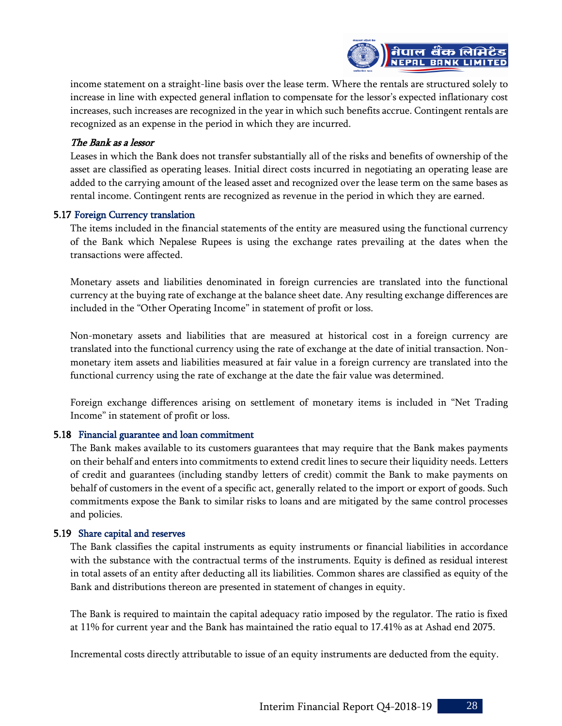

income statement on a straight-line basis over the lease term. Where the rentals are structured solely to increase in line with expected general inflation to compensate for the lessor's expected inflationary cost increases, such increases are recognized in the year in which such benefits accrue. Contingent rentals are recognized as an expense in the period in which they are incurred.

#### The Bank as a lessor

Leases in which the Bank does not transfer substantially all of the risks and benefits of ownership of the asset are classified as operating leases. Initial direct costs incurred in negotiating an operating lease are added to the carrying amount of the leased asset and recognized over the lease term on the same bases as rental income. Contingent rents are recognized as revenue in the period in which they are earned.

#### 5.17 Foreign Currency translation

The items included in the financial statements of the entity are measured using the functional currency of the Bank which Nepalese Rupees is using the exchange rates prevailing at the dates when the transactions were affected.

Monetary assets and liabilities denominated in foreign currencies are translated into the functional currency at the buying rate of exchange at the balance sheet date. Any resulting exchange differences are included in the "Other Operating Income" in statement of profit or loss.

Non-monetary assets and liabilities that are measured at historical cost in a foreign currency are translated into the functional currency using the rate of exchange at the date of initial transaction. Nonmonetary item assets and liabilities measured at fair value in a foreign currency are translated into the functional currency using the rate of exchange at the date the fair value was determined.

Foreign exchange differences arising on settlement of monetary items is included in "Net Trading Income" in statement of profit or loss.

#### 5.18 Financial guarantee and loan commitment

The Bank makes available to its customers guarantees that may require that the Bank makes payments on their behalf and enters into commitments to extend credit lines to secure their liquidity needs. Letters of credit and guarantees (including standby letters of credit) commit the Bank to make payments on behalf of customers in the event of a specific act, generally related to the import or export of goods. Such commitments expose the Bank to similar risks to loans and are mitigated by the same control processes and policies.

#### 5.19 Share capital and reserves

The Bank classifies the capital instruments as equity instruments or financial liabilities in accordance with the substance with the contractual terms of the instruments. Equity is defined as residual interest in total assets of an entity after deducting all its liabilities. Common shares are classified as equity of the Bank and distributions thereon are presented in statement of changes in equity.

The Bank is required to maintain the capital adequacy ratio imposed by the regulator. The ratio is fixed at 11% for current year and the Bank has maintained the ratio equal to 17.41% as at Ashad end 2075.

Incremental costs directly attributable to issue of an equity instruments are deducted from the equity.

Interim Financial Report Q4-2018-19 28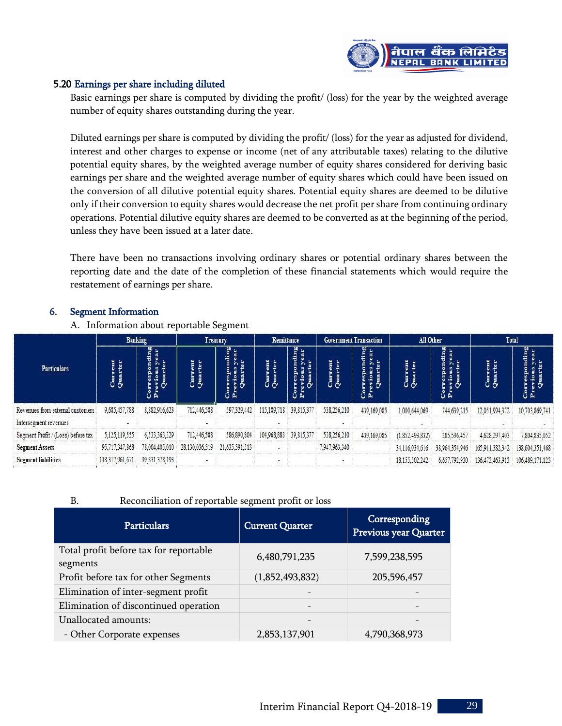

#### 5.20 Earnings per share including diluted

Basic earnings per share is computed by dividing the profit/ (loss) for the year by the weighted average number of equity shares outstanding during the year.

Diluted earnings per share is computed by dividing the profit/ (loss) for the year as adjusted for dividend, interest and other charges to expense or income (net of any attributable taxes) relating to the dilutive potential equity shares, by the weighted average number of equity shares considered for deriving basic earnings per share and the weighted average number of equity shares which could have been issued on the conversion of all dilutive potential equity shares. Potential equity shares are deemed to be dilutive only if their conversion to equity shares would decrease the net profit per share from continuing ordinary operations. Potential dilutive equity shares are deemed to be converted as at the beginning of the period, unless they have been issued at a later date.

There have been no transactions involving ordinary shares or potential ordinary shares between the reporting date and the date of the completion of these financial statements which would require the restatement of earnings per share.

#### 6. Segment Information

A. Information about reportable Segment

| <b>Particulars</b>                 | <b>Banking</b>  |                         | Treasury       |                | Remittance      |                     | <b>Government Transaction</b> |               | All Other       |                | <b>Total</b>    |                 |
|------------------------------------|-----------------|-------------------------|----------------|----------------|-----------------|---------------------|-------------------------------|---------------|-----------------|----------------|-----------------|-----------------|
|                                    | ဉ် ဦ<br>၃       | ÷<br>ပီ<br>$\mathbf{p}$ | ıο             | ding           | $\ddot{\sigma}$ | ling<br>ear<br>ិ ដំ | įį                            | ding<br>បំ ដំ | j<br>J          |                |                 | $\mathbf{a}$    |
| Revenues from external customers   | 9,685,457,788   | 8,882,916,623           | 712,446,588    | 597,329,442    | 115,189,718     | 39,815,377          | 538,256,210                   | 439,169,085   | 1,000,644,069   | 744,639,215    | 12.051.994.372  | 10,703,869,741  |
| Intersegment revenues              |                 |                         |                |                |                 |                     |                               |               |                 |                |                 |                 |
| Segment Profit / (Loss) before tax | 5,125,119,555   | 6,533,363,329           | 712,446,588    | 586,890,804    | 104,968,883     | 39,815,377          | 538,256,210                   | 439,169,085   | (1,852,493,832) | 205,596,457    | 4,628,297,403   | 7,804,835,052   |
| <b>Segment Assets</b>              | 95,717,347,868  | 78,004,405,010          | 28,130,036,519 | 21,635,591,513 |                 |                     | 7,947,963,340                 |               | 34,116,034,616  | 38,964,354,946 | 165,911,382,342 | 138,604,351,468 |
| <b>Segment liabilities</b>         | 118,317,961,671 | 99, 831, 378, 193       |                |                |                 |                     |                               |               | 18.155.502.242  | 6,657,792,930  | 136,473,463,913 | 106,489,171,123 |

#### B. Reconciliation of reportable segment profit or loss

| <b>Particulars</b>                                 | <b>Current Quarter</b> | Corresponding<br>Previous year Quarter |
|----------------------------------------------------|------------------------|----------------------------------------|
| Total profit before tax for reportable<br>segments | 6,480,791,235          | 7,599,238,595                          |
| Profit before tax for other Segments               | (1,852,493,832)        | 205,596,457                            |
| Elimination of inter-segment profit                |                        |                                        |
| Elimination of discontinued operation              |                        |                                        |
| Unallocated amounts:                               |                        |                                        |
| - Other Corporate expenses                         | 2,853,137,901          | 4,790,368,973                          |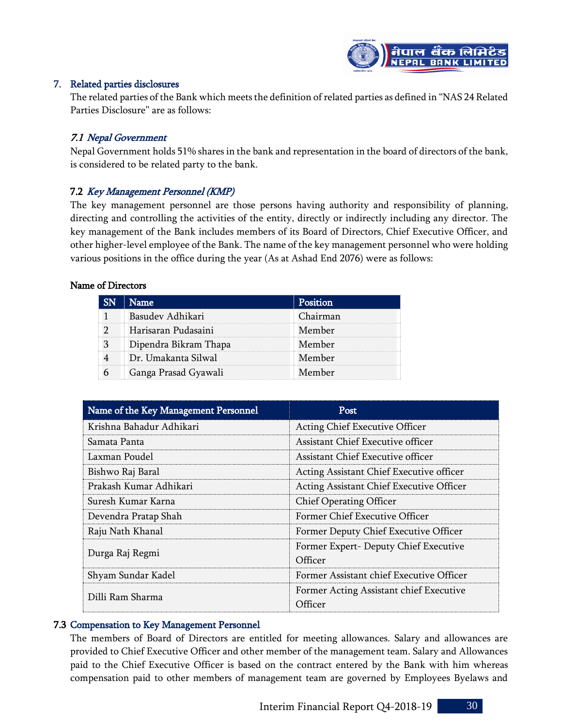

#### 7. Related parties disclosures

The related parties of the Bank which meets the definition of related parties as defined in "NAS 24 Related Parties Disclosure" are as follows:

#### 7.1 Nepal Government

Nepal Government holds 51% shares in the bank and representation in the board of directors of the bank, is considered to be related party to the bank.

#### 7.2 Key Management Personnel (KMP)

The key management personnel are those persons having authority and responsibility of planning, directing and controlling the activities of the entity, directly or indirectly including any director. The key management of the Bank includes members of its Board of Directors, Chief Executive Officer, and other higher-level employee of the Bank. The name of the key management personnel who were holding various positions in the office during the year (As at Ashad End 2076) were as follows:

#### Name of Directors

| <b>Name</b>           |         |
|-----------------------|---------|
| Basudev Adhikari      | hairman |
| Harisaran Pudasaini   | Member  |
| Dipendra Bikram Thapa | Member  |
| Dr. Umakanta Silwal   | Member  |
| Ganga Prasad Gyawali  | Member  |

| Name of the Key Management Personnel | <b>Post</b>                              |  |  |  |
|--------------------------------------|------------------------------------------|--|--|--|
| Krishna Bahadur Adhikari             | Acting Chief Executive Officer           |  |  |  |
| Samata Panta                         | Assistant Chief Executive officer        |  |  |  |
| Laxman Poudel                        | Assistant Chief Executive officer        |  |  |  |
| Bishwo Raj Baral                     | Acting Assistant Chief Executive officer |  |  |  |
| Prakash Kumar Adhikari               | Acting Assistant Chief Executive Officer |  |  |  |
| Suresh Kumar Karna                   | <b>Chief Operating Officer</b>           |  |  |  |
| Devendra Pratap Shah                 | Former Chief Executive Officer           |  |  |  |
| Raju Nath Khanal                     | Former Deputy Chief Executive Officer    |  |  |  |
| Durga Raj Regmi                      | Former Expert- Deputy Chief Executive    |  |  |  |
|                                      | Officer                                  |  |  |  |
| Shyam Sundar Kadel                   | Former Assistant chief Executive Officer |  |  |  |
| Dilli Ram Sharma                     | Former Acting Assistant chief Executive  |  |  |  |
|                                      | Officer                                  |  |  |  |

#### 7.3 Compensation to Key Management Personnel

The members of Board of Directors are entitled for meeting allowances. Salary and allowances are provided to Chief Executive Officer and other member of the management team. Salary and Allowances paid to the Chief Executive Officer is based on the contract entered by the Bank with him whereas compensation paid to other members of management team are governed by Employees Byelaws and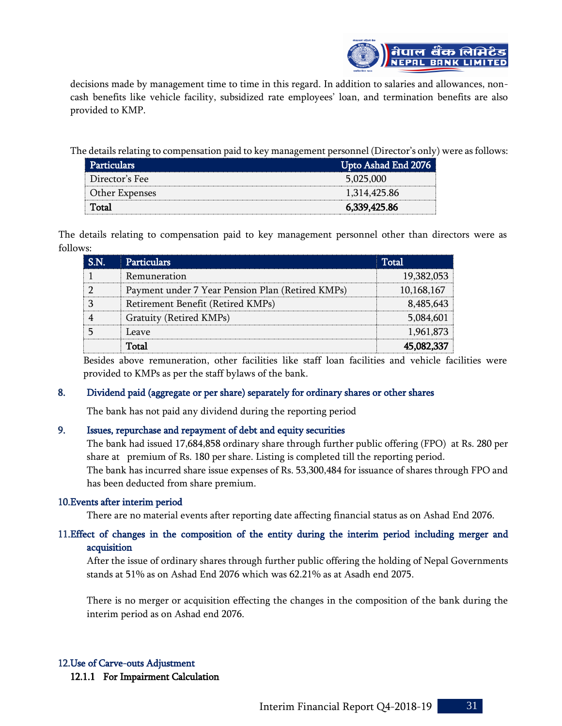

decisions made by management time to time in this regard. In addition to salaries and allowances, noncash benefits like vehicle facility, subsidized rate employees' loan, and termination benefits are also provided to KMP.

The details relating to compensation paid to key management personnel (Director's only) were as follows:

| <b>Particulars</b> | Upto Ashad End 2076 |
|--------------------|---------------------|
| Director's Fee     | 5,025,000           |
| Other Expenses     | 1,314,425.86        |
| Total              | 6,339,425.86        |

The details relating to compensation paid to key management personnel other than directors were as follows:

| <b>Particulars</b>                               | $\sf Total$ |
|--------------------------------------------------|-------------|
| Remuneration                                     | 19,382,053  |
| Payment under 7 Year Pension Plan (Retired KMPs) | 10,168,167  |
| Retirement Benefit (Retired KMPs)                | 8.485.64    |
| Gratuity (Retired KMPs)                          | 5,084,60    |
| Leave                                            | 1,961,873   |
|                                                  |             |

Besides above remuneration, other facilities like staff loan facilities and vehicle facilities were provided to KMPs as per the staff bylaws of the bank.

#### 8. Dividend paid (aggregate or per share) separately for ordinary shares or other shares

The bank has not paid any dividend during the reporting period

#### 9. Issues, repurchase and repayment of debt and equity securities

The bank had issued 17,684,858 ordinary share through further public offering (FPO) at Rs. 280 per share at premium of Rs. 180 per share. Listing is completed till the reporting period. The bank has incurred share issue expenses of Rs. 53,300,484 for issuance of shares through FPO and has been deducted from share premium.

#### 10.Events after interim period

There are no material events after reporting date affecting financial status as on Ashad End 2076.

#### 11.Effect of changes in the composition of the entity during the interim period including merger and acquisition

After the issue of ordinary shares through further public offering the holding of Nepal Governments stands at 51% as on Ashad End 2076 which was 62.21% as at Asadh end 2075.

There is no merger or acquisition effecting the changes in the composition of the bank during the interim period as on Ashad end 2076.

#### 12.Use of Carve-outs Adjustment

12.1.1 For Impairment Calculation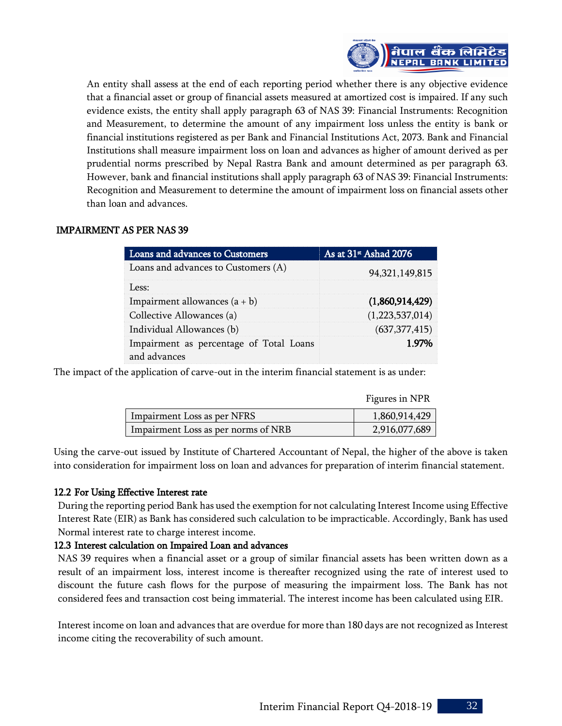

An entity shall assess at the end of each reporting period whether there is any objective evidence that a financial asset or group of financial assets measured at amortized cost is impaired. If any such evidence exists, the entity shall apply paragraph 63 of NAS 39: Financial Instruments: Recognition and Measurement, to determine the amount of any impairment loss unless the entity is bank or financial institutions registered as per Bank and Financial Institutions Act, 2073. Bank and Financial Institutions shall measure impairment loss on loan and advances as higher of amount derived as per prudential norms prescribed by Nepal Rastra Bank and amount determined as per paragraph 63. However, bank and financial institutions shall apply paragraph 63 of NAS 39: Financial Instruments: Recognition and Measurement to determine the amount of impairment loss on financial assets other than loan and advances.

#### IMPAIRMENT AS PER NAS 39

| Loans and advances to Customers                         | As at 31 <sup>st</sup> Ashad 2076 |
|---------------------------------------------------------|-----------------------------------|
| Loans and advances to Customers (A)                     | 94, 321, 149, 815                 |
| Less:                                                   |                                   |
| Impairment allowances $(a + b)$                         | (1,860,914,429)                   |
| Collective Allowances (a)                               | (1,223,537,014)                   |
| Individual Allowances (b)                               | (637, 377, 415)                   |
| Impairment as percentage of Total Loans<br>and advances | 1 ዓ7%                             |

The impact of the application of carve-out in the interim financial statement is as under:

|                                     | Figures in NPR |
|-------------------------------------|----------------|
| Impairment Loss as per NFRS         | 1,860,914,429  |
| Impairment Loss as per norms of NRB | 2,916,077,689  |

Using the carve-out issued by Institute of Chartered Accountant of Nepal, the higher of the above is taken into consideration for impairment loss on loan and advances for preparation of interim financial statement.

#### 12.2 For Using Effective Interest rate

During the reporting period Bank has used the exemption for not calculating Interest Income using Effective Interest Rate (EIR) as Bank has considered such calculation to be impracticable. Accordingly, Bank has used Normal interest rate to charge interest income.

#### 12.3 Interest calculation on Impaired Loan and advances

NAS 39 requires when a financial asset or a group of similar financial assets has been written down as a result of an impairment loss, interest income is thereafter recognized using the rate of interest used to discount the future cash flows for the purpose of measuring the impairment loss. The Bank has not considered fees and transaction cost being immaterial. The interest income has been calculated using EIR.

Interest income on loan and advances that are overdue for more than 180 days are not recognized as Interest income citing the recoverability of such amount.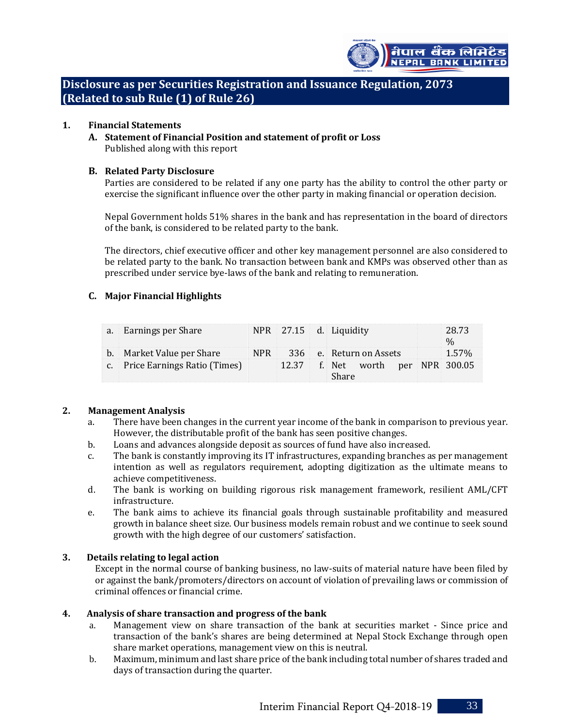

**Disclosure as per Securities Registration and Issuance Regulation, 2073 (Related to sub Rule (1) of Rule 26)**

#### **1. Financial Statements**

**A. Statement of Financial Position and statement of profit or Loss** Published along with this report

#### **B. Related Party Disclosure**

Parties are considered to be related if any one party has the ability to control the other party or exercise the significant influence over the other party in making financial or operation decision.

Nepal Government holds 51% shares in the bank and has representation in the board of directors of the bank, is considered to be related party to the bank.

The directors, chief executive officer and other key management personnel are also considered to be related party to the bank. No transaction between bank and KMPs was observed other than as prescribed under service bye-laws of the bank and relating to remuneration.

#### **C. Major Financial Highlights**

| a. Earnings per Share           |  |                                   | NPR 27.15 d. Liquidity      |  | 28.73<br>0/2 |  |
|---------------------------------|--|-----------------------------------|-----------------------------|--|--------------|--|
| b. Market Value per Share       |  |                                   | NPR 336 e. Return on Assets |  | 1.57%        |  |
| c. Price Earnings Ratio (Times) |  | 12.37 f. Net worth per NPR 300.05 |                             |  |              |  |
|                                 |  |                                   | Share                       |  |              |  |

#### **2. Management Analysis**

- a. There have been changes in the current year income of the bank in comparison to previous year. However, the distributable profit of the bank has seen positive changes.
- b. Loans and advances alongside deposit as sources of fund have also increased.
- c. The bank is constantly improving its IT infrastructures, expanding branches as per management intention as well as regulators requirement, adopting digitization as the ultimate means to achieve competitiveness.
- d. The bank is working on building rigorous risk management framework, resilient AML/CFT infrastructure.
- e. The bank aims to achieve its financial goals through sustainable profitability and measured growth in balance sheet size. Our business models remain robust and we continue to seek sound growth with the high degree of our customers' satisfaction.

#### **3. Details relating to legal action**

Except in the normal course of banking business, no law-suits of material nature have been filed by or against the bank/promoters/directors on account of violation of prevailing laws or commission of criminal offences or financial crime.

#### **4. Analysis of share transaction and progress of the bank**

- a. Management view on share transaction of the bank at securities market Since price and transaction of the bank's shares are being determined at Nepal Stock Exchange through open share market operations, management view on this is neutral.
- b. Maximum, minimum and last share price of the bank including total number of shares traded and days of transaction during the quarter.